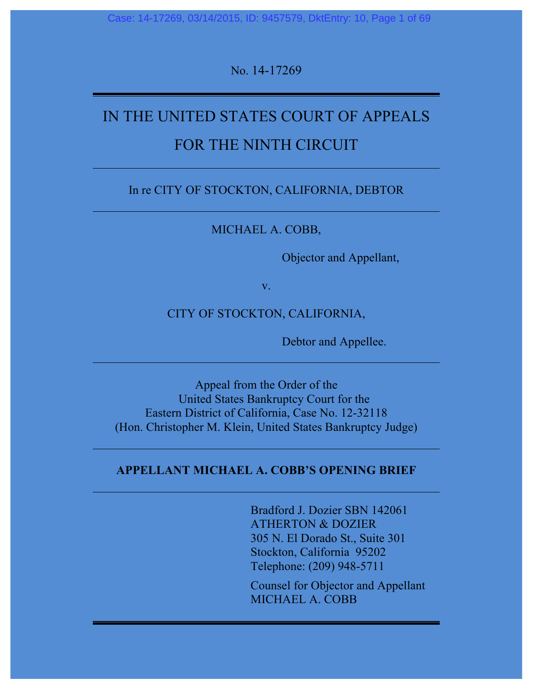No. 14-17269

# IN THE UNITED STATES COURT OF APPEALS FOR THE NINTH CIRCUIT

In re CITY OF STOCKTON, CALIFORNIA, DEBTOR

MICHAEL A. COBB,

Objector and Appellant,

v.

CITY OF STOCKTON, CALIFORNIA,

Debtor and Appellee.

Appeal from the Order of the United States Bankruptcy Court for the Eastern District of California, Case No. 12-32118 (Hon. Christopher M. Klein, United States Bankruptcy Judge)

#### **APPELLANT MICHAEL A. COBB'S OPENING BRIEF**

Bradford J. Dozier SBN 142061 ATHERTON & DOZIER 305 N. El Dorado St., Suite 301 Stockton, California 95202 Telephone: (209) 948-5711

Counsel for Objector and Appellant MICHAEL A. COBB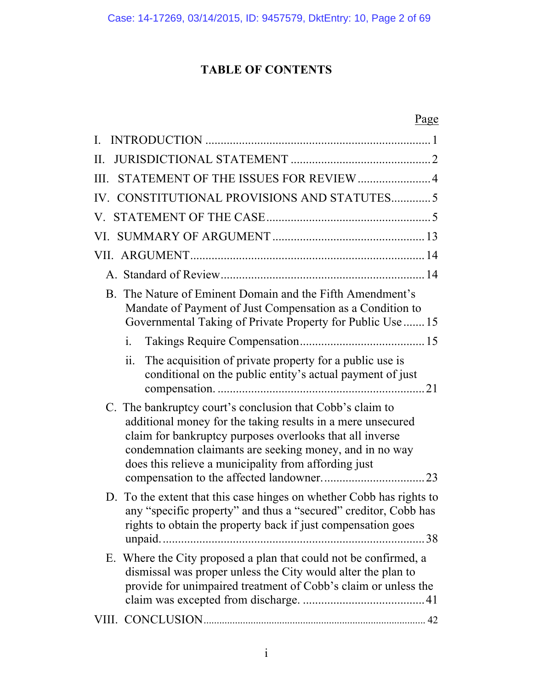# **TABLE OF CONTENTS**

# Page

| L                                                                                                                                                                                                                                                                                                       |  |
|---------------------------------------------------------------------------------------------------------------------------------------------------------------------------------------------------------------------------------------------------------------------------------------------------------|--|
| $\Pi$ .                                                                                                                                                                                                                                                                                                 |  |
| STATEMENT OF THE ISSUES FOR REVIEW  4<br>III.                                                                                                                                                                                                                                                           |  |
| IV. CONSTITUTIONAL PROVISIONS AND STATUTES5                                                                                                                                                                                                                                                             |  |
| $V_{\cdot}$                                                                                                                                                                                                                                                                                             |  |
|                                                                                                                                                                                                                                                                                                         |  |
|                                                                                                                                                                                                                                                                                                         |  |
|                                                                                                                                                                                                                                                                                                         |  |
| B. The Nature of Eminent Domain and the Fifth Amendment's<br>Mandate of Payment of Just Compensation as a Condition to<br>Governmental Taking of Private Property for Public Use  15                                                                                                                    |  |
| $\mathbf{i}$ .                                                                                                                                                                                                                                                                                          |  |
| $\dddot{\mathbf{i}}$<br>The acquisition of private property for a public use is<br>conditional on the public entity's actual payment of just                                                                                                                                                            |  |
| C. The bankruptcy court's conclusion that Cobb's claim to<br>additional money for the taking results in a mere unsecured<br>claim for bankruptcy purposes overlooks that all inverse<br>condemnation claimants are seeking money, and in no way<br>does this relieve a municipality from affording just |  |
| D. To the extent that this case hinges on whether Cobb has rights to<br>any "specific property" and thus a "secured" creditor, Cobb has<br>rights to obtain the property back if just compensation goes                                                                                                 |  |
| E. Where the City proposed a plan that could not be confirmed, a<br>dismissal was proper unless the City would alter the plan to<br>provide for unimpaired treatment of Cobb's claim or unless the                                                                                                      |  |
|                                                                                                                                                                                                                                                                                                         |  |
|                                                                                                                                                                                                                                                                                                         |  |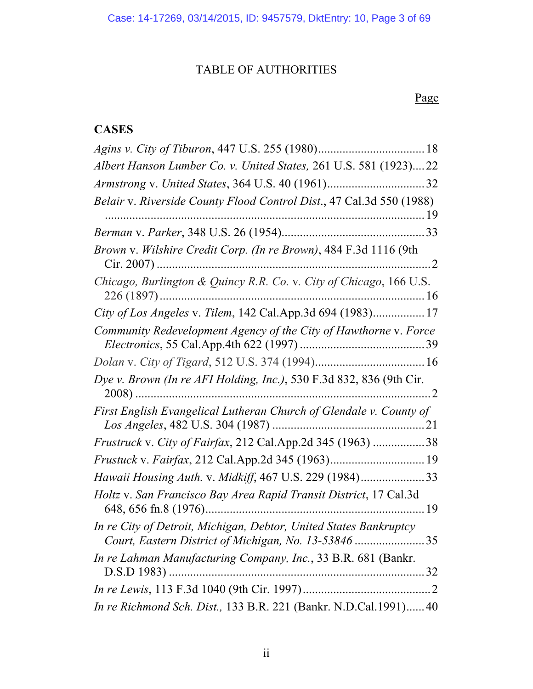# TABLE OF AUTHORITIES

# Page

### **CASES**

| Albert Hanson Lumber Co. v. United States, 261 U.S. 581 (1923)22     |  |
|----------------------------------------------------------------------|--|
|                                                                      |  |
| Belair v. Riverside County Flood Control Dist., 47 Cal.3d 550 (1988) |  |
|                                                                      |  |
| Brown v. Wilshire Credit Corp. (In re Brown), 484 F.3d 1116 (9th     |  |
| Chicago, Burlington & Quincy R.R. Co. v. City of Chicago, 166 U.S.   |  |
| City of Los Angeles v. Tilem, 142 Cal.App.3d 694 (1983)17            |  |
| Community Redevelopment Agency of the City of Hawthorne v. Force     |  |
|                                                                      |  |
| Dye v. Brown (In re AFI Holding, Inc.), 530 F.3d 832, 836 (9th Cir.  |  |
| First English Evangelical Lutheran Church of Glendale v. County of   |  |
| Frustruck v. City of Fairfax, 212 Cal.App.2d 345 (1963) 38           |  |
|                                                                      |  |
| Hawaii Housing Auth. v. Midkiff, 467 U.S. 229 (1984)33               |  |
| Holtz v. San Francisco Bay Area Rapid Transit District, 17 Cal.3d    |  |
| In re City of Detroit, Michigan, Debtor, United States Bankruptcy    |  |
| In re Lahman Manufacturing Company, Inc., 33 B.R. 681 (Bankr.        |  |
|                                                                      |  |
| In re Richmond Sch. Dist., 133 B.R. 221 (Bankr. N.D.Cal.1991) 40     |  |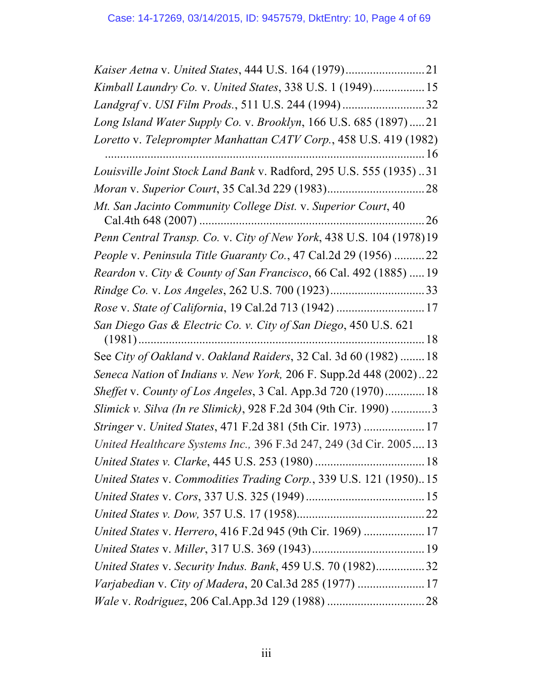| Kimball Laundry Co. v. United States, 338 U.S. 1 (1949) 15          |            |
|---------------------------------------------------------------------|------------|
|                                                                     |            |
| Long Island Water Supply Co. v. Brooklyn, 166 U.S. 685 (1897)21     |            |
| Loretto v. Teleprompter Manhattan CATV Corp., 458 U.S. 419 (1982)   | $\dots 16$ |
| Louisville Joint Stock Land Bank v. Radford, 295 U.S. 555 (1935)31  |            |
|                                                                     |            |
| Mt. San Jacinto Community College Dist. v. Superior Court, 40       | 26         |
| Penn Central Transp. Co. v. City of New York, 438 U.S. 104 (1978)19 |            |
| People v. Peninsula Title Guaranty Co., 47 Cal.2d 29 (1956) 22      |            |
| Reardon v. City & County of San Francisco, 66 Cal. 492 (1885)  19   |            |
|                                                                     |            |
| Rose v. State of California, 19 Cal.2d 713 (1942) 17                |            |
| San Diego Gas & Electric Co. v. City of San Diego, 450 U.S. 621     |            |
| See City of Oakland v. Oakland Raiders, 32 Cal. 3d 60 (1982)  18    |            |
| Seneca Nation of Indians v. New York, 206 F. Supp.2d 448 (2002)22   |            |
| Sheffet v. County of Los Angeles, 3 Cal. App.3d 720 (1970) 18       |            |
| Slimick v. Silva (In re Slimick), 928 F.2d 304 (9th Cir. 1990)  3   |            |
| Stringer v. United States, 471 F.2d 381 (5th Cir. 1973)  17         |            |
| United Healthcare Systems Inc., 396 F.3d 247, 249 (3d Cir. 2005 13  |            |
|                                                                     |            |
| United States v. Commodities Trading Corp., 339 U.S. 121 (1950)15   |            |
|                                                                     |            |
|                                                                     |            |
| United States v. Herrero, 416 F.2d 945 (9th Cir. 1969)  17          |            |
|                                                                     |            |
| United States v. Security Indus. Bank, 459 U.S. 70 (1982)32         |            |
| Varjabedian v. City of Madera, 20 Cal.3d 285 (1977) 17              |            |
|                                                                     |            |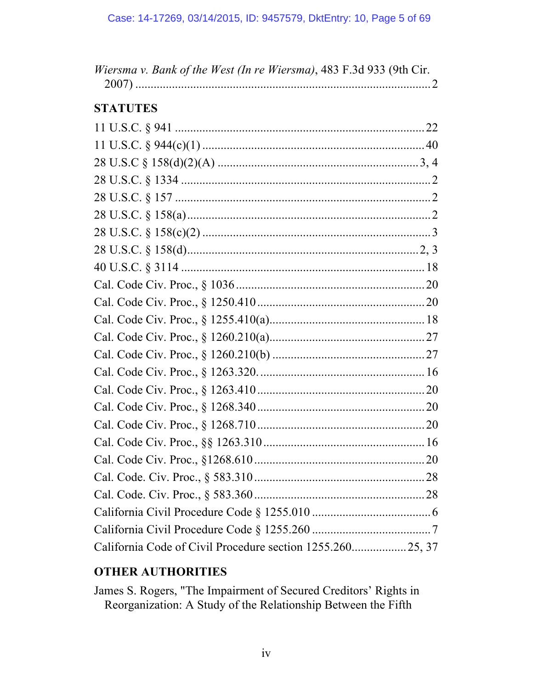| Wiersma v. Bank of the West (In re Wiersma), 483 F.3d 933 (9th Cir. |  |  |  |
|---------------------------------------------------------------------|--|--|--|
|                                                                     |  |  |  |

## **STATUTES**

| California Code of Civil Procedure section 1255.26025, 37 |  |
|-----------------------------------------------------------|--|

# **OTHER AUTHORITIES**

James S. Rogers, "The Impairment of Secured Creditors' Rights in Reorganization: A Study of the Relationship Between the Fifth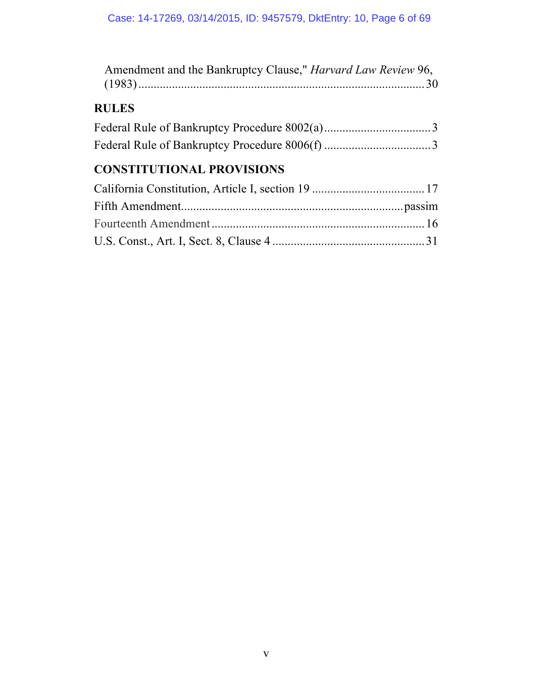| Amendment and the Bankruptcy Clause," <i>Harvard Law Review</i> 96, |  |
|---------------------------------------------------------------------|--|
|                                                                     |  |

# **RULES**

# **CONSTITUTIONAL PROVISIONS**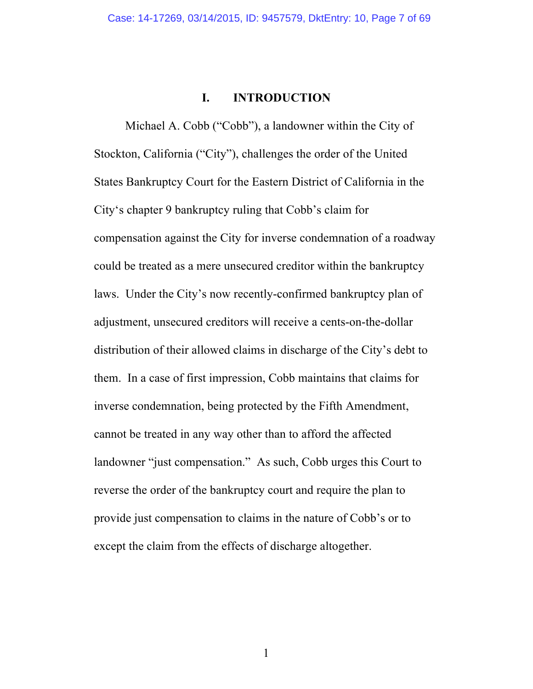#### **I. INTRODUCTION**

Michael A. Cobb ("Cobb"), a landowner within the City of Stockton, California ("City"), challenges the order of the United States Bankruptcy Court for the Eastern District of California in the City's chapter 9 bankruptcy ruling that Cobb's claim for compensation against the City for inverse condemnation of a roadway could be treated as a mere unsecured creditor within the bankruptcy laws. Under the City's now recently-confirmed bankruptcy plan of adjustment, unsecured creditors will receive a cents-on-the-dollar distribution of their allowed claims in discharge of the City's debt to them. In a case of first impression, Cobb maintains that claims for inverse condemnation, being protected by the Fifth Amendment, cannot be treated in any way other than to afford the affected landowner "just compensation." As such, Cobb urges this Court to reverse the order of the bankruptcy court and require the plan to provide just compensation to claims in the nature of Cobb's or to except the claim from the effects of discharge altogether.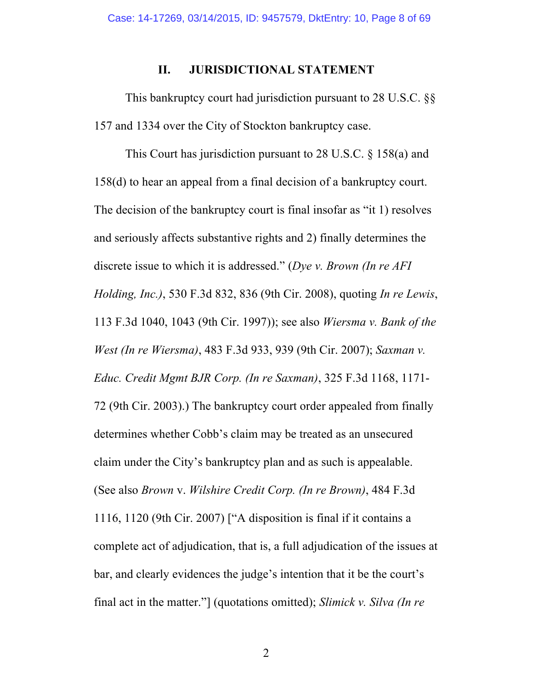#### **II. JURISDICTIONAL STATEMENT**

This bankruptcy court had jurisdiction pursuant to 28 U.S.C. §§ 157 and 1334 over the City of Stockton bankruptcy case.

This Court has jurisdiction pursuant to 28 U.S.C. § 158(a) and 158(d) to hear an appeal from a final decision of a bankruptcy court. The decision of the bankruptcy court is final insofar as "it 1) resolves and seriously affects substantive rights and 2) finally determines the discrete issue to which it is addressed." (*Dye v. Brown (In re AFI Holding, Inc.)*, 530 F.3d 832, 836 (9th Cir. 2008), quoting *In re Lewis*, 113 F.3d 1040, 1043 (9th Cir. 1997)); see also *Wiersma v. Bank of the West (In re Wiersma)*, 483 F.3d 933, 939 (9th Cir. 2007); *Saxman v. Educ. Credit Mgmt BJR Corp. (In re Saxman)*, 325 F.3d 1168, 1171- 72 (9th Cir. 2003).) The bankruptcy court order appealed from finally determines whether Cobb's claim may be treated as an unsecured claim under the City's bankruptcy plan and as such is appealable. (See also *Brown* v. *Wilshire Credit Corp. (In re Brown)*, 484 F.3d 1116, 1120 (9th Cir. 2007) ["A disposition is final if it contains a complete act of adjudication, that is, a full adjudication of the issues at bar, and clearly evidences the judge's intention that it be the court's final act in the matter."] (quotations omitted); *Slimick v. Silva (In re*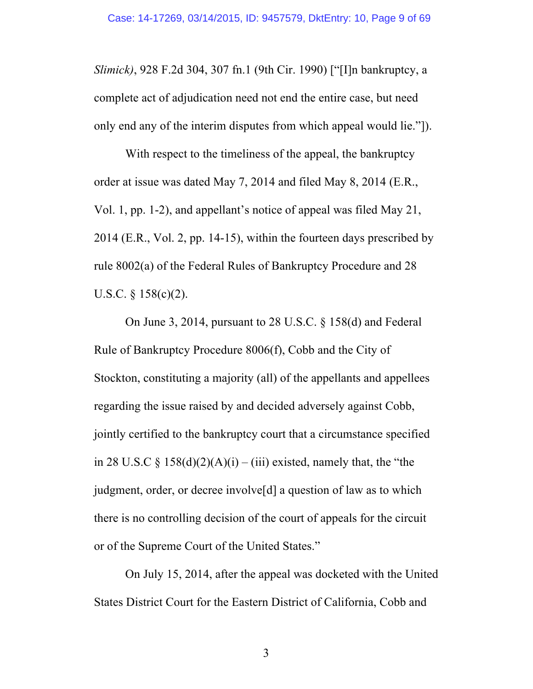*Slimick)*, 928 F.2d 304, 307 fn.1 (9th Cir. 1990) ["[I]n bankruptcy, a complete act of adjudication need not end the entire case, but need only end any of the interim disputes from which appeal would lie."]).

With respect to the timeliness of the appeal, the bankruptcy order at issue was dated May 7, 2014 and filed May 8, 2014 (E.R., Vol. 1, pp. 1-2), and appellant's notice of appeal was filed May 21, 2014 (E.R., Vol. 2, pp. 14-15), within the fourteen days prescribed by rule 8002(a) of the Federal Rules of Bankruptcy Procedure and 28 U.S.C. § 158(c)(2).

On June 3, 2014, pursuant to 28 U.S.C. § 158(d) and Federal Rule of Bankruptcy Procedure 8006(f), Cobb and the City of Stockton, constituting a majority (all) of the appellants and appellees regarding the issue raised by and decided adversely against Cobb, jointly certified to the bankruptcy court that a circumstance specified in 28 U.S.C  $\S$  158(d)(2)(A)(i) – (iii) existed, namely that, the "the judgment, order, or decree involve[d] a question of law as to which there is no controlling decision of the court of appeals for the circuit or of the Supreme Court of the United States."

On July 15, 2014, after the appeal was docketed with the United States District Court for the Eastern District of California, Cobb and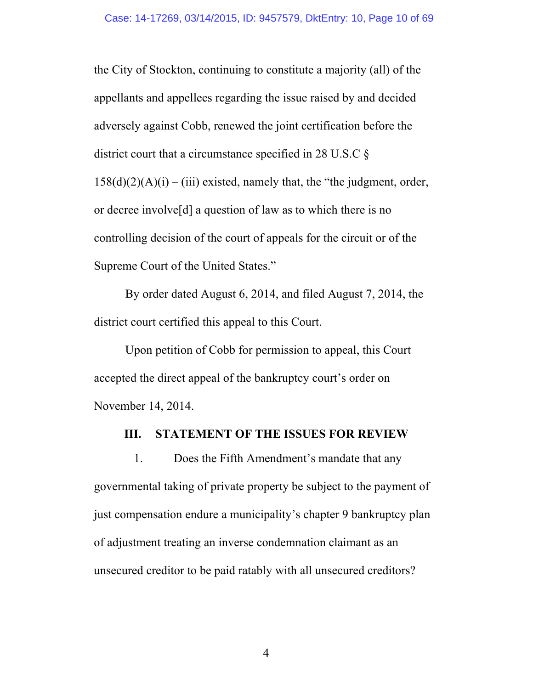the City of Stockton, continuing to constitute a majority (all) of the appellants and appellees regarding the issue raised by and decided adversely against Cobb, renewed the joint certification before the district court that a circumstance specified in 28 U.S.C §  $158(d)(2)(A)(i) - (iii)$  existed, namely that, the "the judgment, order, or decree involve[d] a question of law as to which there is no controlling decision of the court of appeals for the circuit or of the Supreme Court of the United States."

By order dated August 6, 2014, and filed August 7, 2014, the district court certified this appeal to this Court.

Upon petition of Cobb for permission to appeal, this Court accepted the direct appeal of the bankruptcy court's order on November 14, 2014.

#### **III. STATEMENT OF THE ISSUES FOR REVIEW**

1. Does the Fifth Amendment's mandate that any governmental taking of private property be subject to the payment of just compensation endure a municipality's chapter 9 bankruptcy plan of adjustment treating an inverse condemnation claimant as an unsecured creditor to be paid ratably with all unsecured creditors?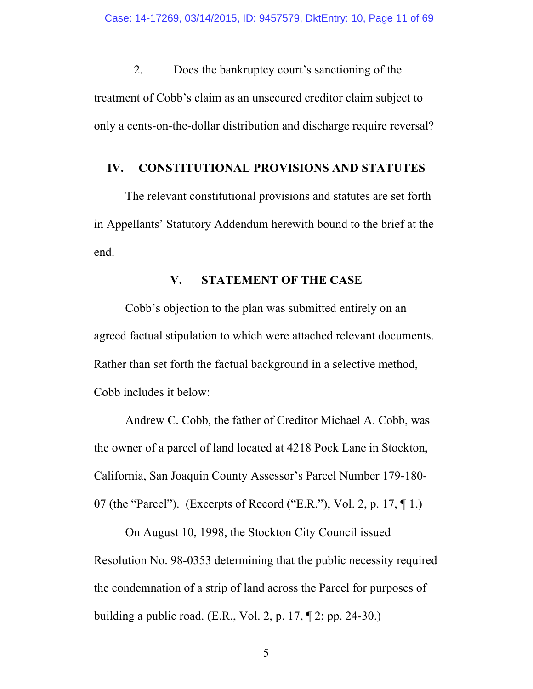2. Does the bankruptcy court's sanctioning of the treatment of Cobb's claim as an unsecured creditor claim subject to only a cents-on-the-dollar distribution and discharge require reversal?

#### **IV. CONSTITUTIONAL PROVISIONS AND STATUTES**

The relevant constitutional provisions and statutes are set forth in Appellants' Statutory Addendum herewith bound to the brief at the end.

#### **V. STATEMENT OF THE CASE**

Cobb's objection to the plan was submitted entirely on an agreed factual stipulation to which were attached relevant documents. Rather than set forth the factual background in a selective method, Cobb includes it below:

Andrew C. Cobb, the father of Creditor Michael A. Cobb, was the owner of a parcel of land located at 4218 Pock Lane in Stockton, California, San Joaquin County Assessor's Parcel Number 179-180- 07 (the "Parcel"). (Excerpts of Record ("E.R."), Vol. 2, p. 17,  $\P$ 1.)

On August 10, 1998, the Stockton City Council issued Resolution No. 98-0353 determining that the public necessity required the condemnation of a strip of land across the Parcel for purposes of building a public road. (E.R., Vol. 2, p. 17, ¶ 2; pp. 24-30.)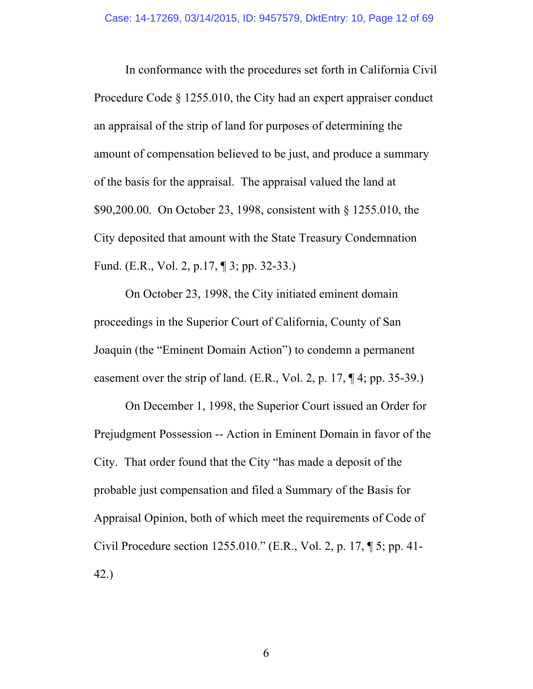In conformance with the procedures set forth in California Civil Procedure Code § 1255.010, the City had an expert appraiser conduct an appraisal of the strip of land for purposes of determining the amount of compensation believed to be just, and produce a summary of the basis for the appraisal. The appraisal valued the land at \$90,200.00. On October 23, 1998, consistent with § 1255.010, the City deposited that amount with the State Treasury Condemnation Fund. (E.R., Vol. 2, p.17, ¶ 3; pp. 32-33.)

On October 23, 1998, the City initiated eminent domain proceedings in the Superior Court of California, County of San Joaquin (the "Eminent Domain Action") to condemn a permanent easement over the strip of land. (E.R., Vol. 2, p. 17, ¶ 4; pp. 35-39.)

On December 1, 1998, the Superior Court issued an Order for Prejudgment Possession -- Action in Eminent Domain in favor of the City. That order found that the City "has made a deposit of the probable just compensation and filed a Summary of the Basis for Appraisal Opinion, both of which meet the requirements of Code of Civil Procedure section 1255.010." (E.R., Vol. 2, p. 17, ¶ 5; pp. 41- 42.)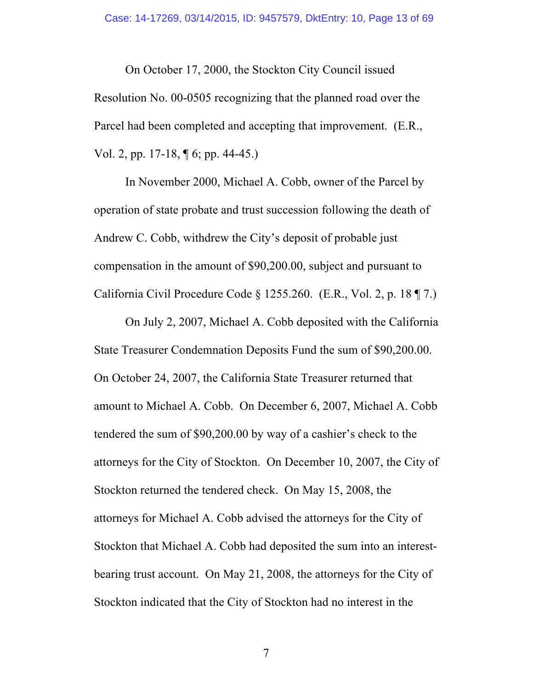On October 17, 2000, the Stockton City Council issued Resolution No. 00-0505 recognizing that the planned road over the Parcel had been completed and accepting that improvement. (E.R., Vol. 2, pp. 17-18, ¶ 6; pp. 44-45.)

In November 2000, Michael A. Cobb, owner of the Parcel by operation of state probate and trust succession following the death of Andrew C. Cobb, withdrew the City's deposit of probable just compensation in the amount of \$90,200.00, subject and pursuant to California Civil Procedure Code § 1255.260. (E.R., Vol. 2, p. 18 ¶ 7.)

On July 2, 2007, Michael A. Cobb deposited with the California State Treasurer Condemnation Deposits Fund the sum of \$90,200.00. On October 24, 2007, the California State Treasurer returned that amount to Michael A. Cobb. On December 6, 2007, Michael A. Cobb tendered the sum of \$90,200.00 by way of a cashier's check to the attorneys for the City of Stockton. On December 10, 2007, the City of Stockton returned the tendered check. On May 15, 2008, the attorneys for Michael A. Cobb advised the attorneys for the City of Stockton that Michael A. Cobb had deposited the sum into an interestbearing trust account. On May 21, 2008, the attorneys for the City of Stockton indicated that the City of Stockton had no interest in the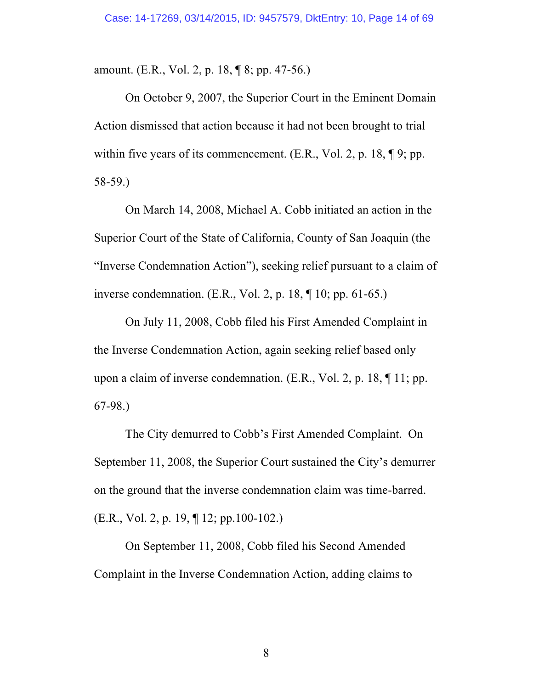amount. (E.R., Vol. 2, p. 18, ¶ 8; pp. 47-56.)

On October 9, 2007, the Superior Court in the Eminent Domain Action dismissed that action because it had not been brought to trial within five years of its commencement. (E.R., Vol. 2, p. 18, ¶ 9; pp. 58-59.)

On March 14, 2008, Michael A. Cobb initiated an action in the Superior Court of the State of California, County of San Joaquin (the "Inverse Condemnation Action"), seeking relief pursuant to a claim of inverse condemnation. (E.R., Vol. 2, p. 18, ¶ 10; pp. 61-65.)

On July 11, 2008, Cobb filed his First Amended Complaint in the Inverse Condemnation Action, again seeking relief based only upon a claim of inverse condemnation. (E.R., Vol. 2, p. 18, ¶ 11; pp. 67-98.)

The City demurred to Cobb's First Amended Complaint. On September 11, 2008, the Superior Court sustained the City's demurrer on the ground that the inverse condemnation claim was time-barred. (E.R., Vol. 2, p. 19, ¶ 12; pp.100-102.)

On September 11, 2008, Cobb filed his Second Amended Complaint in the Inverse Condemnation Action, adding claims to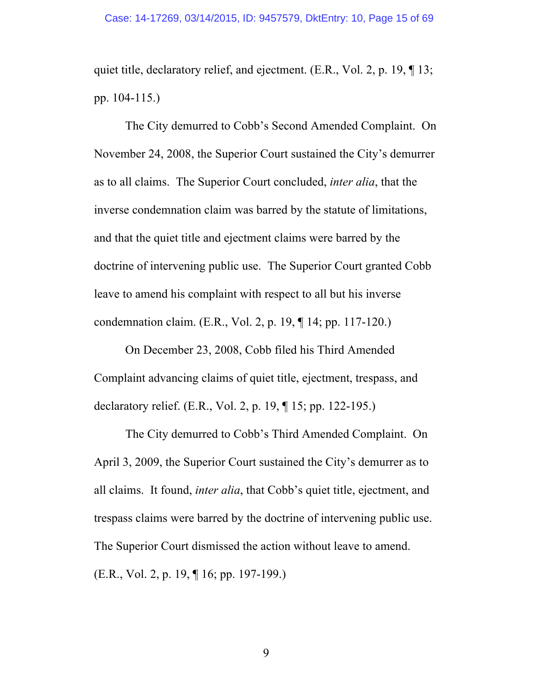quiet title, declaratory relief, and ejectment. (E.R., Vol. 2, p. 19, ¶ 13; pp. 104-115.)

The City demurred to Cobb's Second Amended Complaint. On November 24, 2008, the Superior Court sustained the City's demurrer as to all claims. The Superior Court concluded, *inter alia*, that the inverse condemnation claim was barred by the statute of limitations, and that the quiet title and ejectment claims were barred by the doctrine of intervening public use. The Superior Court granted Cobb leave to amend his complaint with respect to all but his inverse condemnation claim. (E.R., Vol. 2, p. 19, ¶ 14; pp. 117-120.)

On December 23, 2008, Cobb filed his Third Amended Complaint advancing claims of quiet title, ejectment, trespass, and declaratory relief. (E.R., Vol. 2, p. 19, ¶ 15; pp. 122-195.)

The City demurred to Cobb's Third Amended Complaint. On April 3, 2009, the Superior Court sustained the City's demurrer as to all claims. It found, *inter alia*, that Cobb's quiet title, ejectment, and trespass claims were barred by the doctrine of intervening public use. The Superior Court dismissed the action without leave to amend. (E.R., Vol. 2, p. 19, ¶ 16; pp. 197-199.)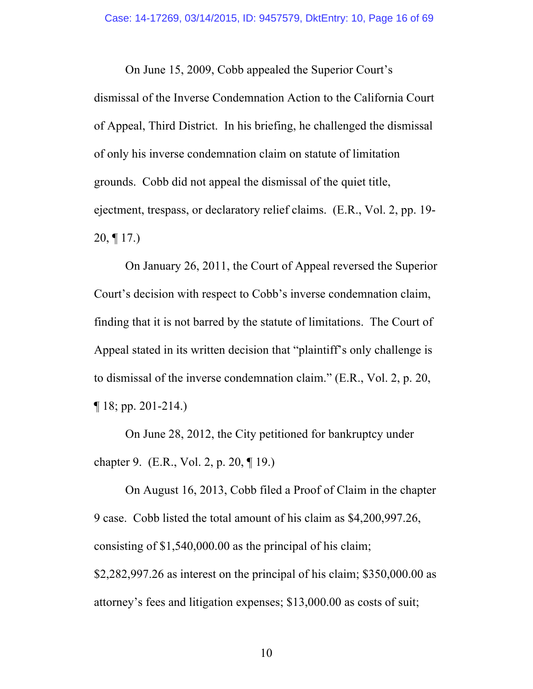On June 15, 2009, Cobb appealed the Superior Court's dismissal of the Inverse Condemnation Action to the California Court of Appeal, Third District. In his briefing, he challenged the dismissal of only his inverse condemnation claim on statute of limitation grounds. Cobb did not appeal the dismissal of the quiet title, ejectment, trespass, or declaratory relief claims. (E.R., Vol. 2, pp. 19-  $20, \P 17.$ 

On January 26, 2011, the Court of Appeal reversed the Superior Court's decision with respect to Cobb's inverse condemnation claim, finding that it is not barred by the statute of limitations. The Court of Appeal stated in its written decision that "plaintiff's only challenge is to dismissal of the inverse condemnation claim." (E.R., Vol. 2, p. 20, ¶ 18; pp. 201-214.)

On June 28, 2012, the City petitioned for bankruptcy under chapter 9. (E.R., Vol. 2, p. 20, ¶ 19.)

On August 16, 2013, Cobb filed a Proof of Claim in the chapter 9 case. Cobb listed the total amount of his claim as \$4,200,997.26, consisting of \$1,540,000.00 as the principal of his claim;

\$2,282,997.26 as interest on the principal of his claim; \$350,000.00 as attorney's fees and litigation expenses; \$13,000.00 as costs of suit;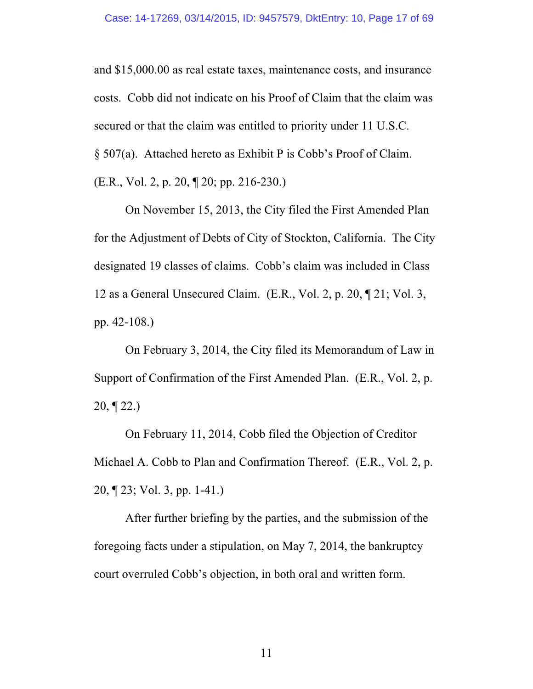and \$15,000.00 as real estate taxes, maintenance costs, and insurance costs. Cobb did not indicate on his Proof of Claim that the claim was secured or that the claim was entitled to priority under 11 U.S.C. § 507(a). Attached hereto as Exhibit P is Cobb's Proof of Claim. (E.R., Vol. 2, p. 20, ¶ 20; pp. 216-230.)

On November 15, 2013, the City filed the First Amended Plan for the Adjustment of Debts of City of Stockton, California. The City designated 19 classes of claims. Cobb's claim was included in Class 12 as a General Unsecured Claim. (E.R., Vol. 2, p. 20, ¶ 21; Vol. 3, pp. 42-108.)

On February 3, 2014, the City filed its Memorandum of Law in Support of Confirmation of the First Amended Plan. (E.R., Vol. 2, p.  $20, \P 22.$ 

On February 11, 2014, Cobb filed the Objection of Creditor Michael A. Cobb to Plan and Confirmation Thereof. (E.R., Vol. 2, p. 20, ¶ 23; Vol. 3, pp. 1-41.)

After further briefing by the parties, and the submission of the foregoing facts under a stipulation, on May 7, 2014, the bankruptcy court overruled Cobb's objection, in both oral and written form.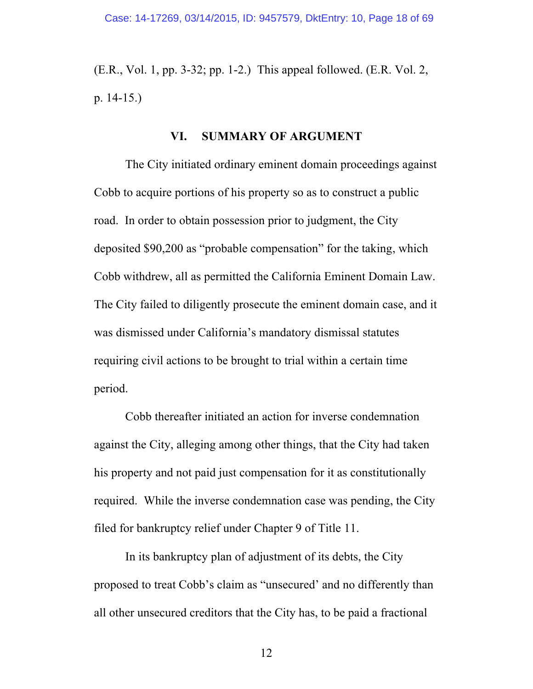(E.R., Vol. 1, pp. 3-32; pp. 1-2.) This appeal followed. (E.R. Vol. 2, p. 14-15.)

#### **VI. SUMMARY OF ARGUMENT**

The City initiated ordinary eminent domain proceedings against Cobb to acquire portions of his property so as to construct a public road. In order to obtain possession prior to judgment, the City deposited \$90,200 as "probable compensation" for the taking, which Cobb withdrew, all as permitted the California Eminent Domain Law. The City failed to diligently prosecute the eminent domain case, and it was dismissed under California's mandatory dismissal statutes requiring civil actions to be brought to trial within a certain time period.

Cobb thereafter initiated an action for inverse condemnation against the City, alleging among other things, that the City had taken his property and not paid just compensation for it as constitutionally required. While the inverse condemnation case was pending, the City filed for bankruptcy relief under Chapter 9 of Title 11.

In its bankruptcy plan of adjustment of its debts, the City proposed to treat Cobb's claim as "unsecured' and no differently than all other unsecured creditors that the City has, to be paid a fractional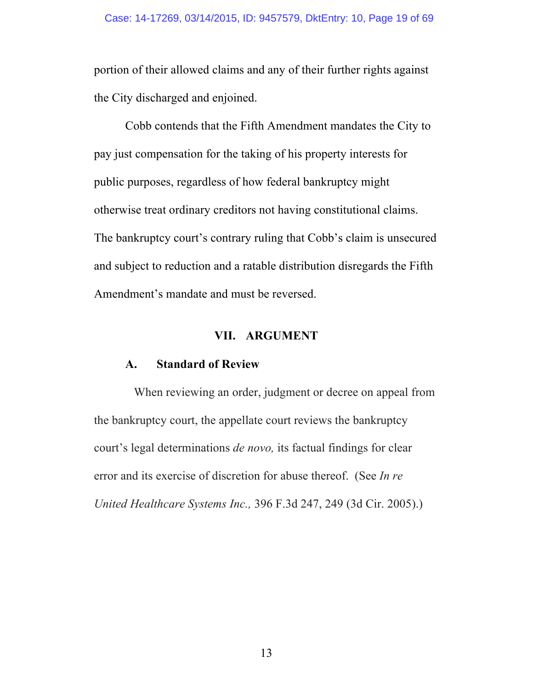portion of their allowed claims and any of their further rights against the City discharged and enjoined.

Cobb contends that the Fifth Amendment mandates the City to pay just compensation for the taking of his property interests for public purposes, regardless of how federal bankruptcy might otherwise treat ordinary creditors not having constitutional claims. The bankruptcy court's contrary ruling that Cobb's claim is unsecured and subject to reduction and a ratable distribution disregards the Fifth Amendment's mandate and must be reversed.

#### **VII. ARGUMENT**

#### **A. Standard of Review**

When reviewing an order, judgment or decree on appeal from the bankruptcy court, the appellate court reviews the bankruptcy court's legal determinations *de novo,* its factual findings for clear error and its exercise of discretion for abuse thereof. (See *In re United Healthcare Systems Inc.,* 396 F.3d 247, 249 (3d Cir. 2005).)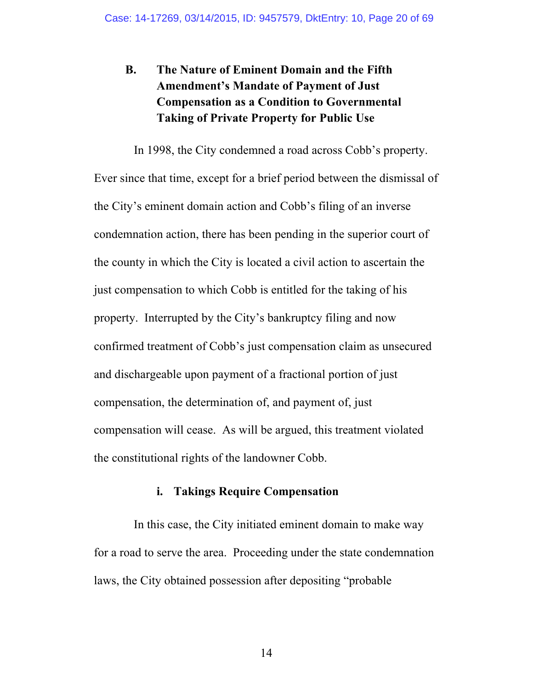# **B. The Nature of Eminent Domain and the Fifth Amendment's Mandate of Payment of Just Compensation as a Condition to Governmental Taking of Private Property for Public Use**

In 1998, the City condemned a road across Cobb's property.

Ever since that time, except for a brief period between the dismissal of the City's eminent domain action and Cobb's filing of an inverse condemnation action, there has been pending in the superior court of the county in which the City is located a civil action to ascertain the just compensation to which Cobb is entitled for the taking of his property. Interrupted by the City's bankruptcy filing and now confirmed treatment of Cobb's just compensation claim as unsecured and dischargeable upon payment of a fractional portion of just compensation, the determination of, and payment of, just compensation will cease. As will be argued, this treatment violated the constitutional rights of the landowner Cobb.

#### **i. Takings Require Compensation**

In this case, the City initiated eminent domain to make way for a road to serve the area. Proceeding under the state condemnation laws, the City obtained possession after depositing "probable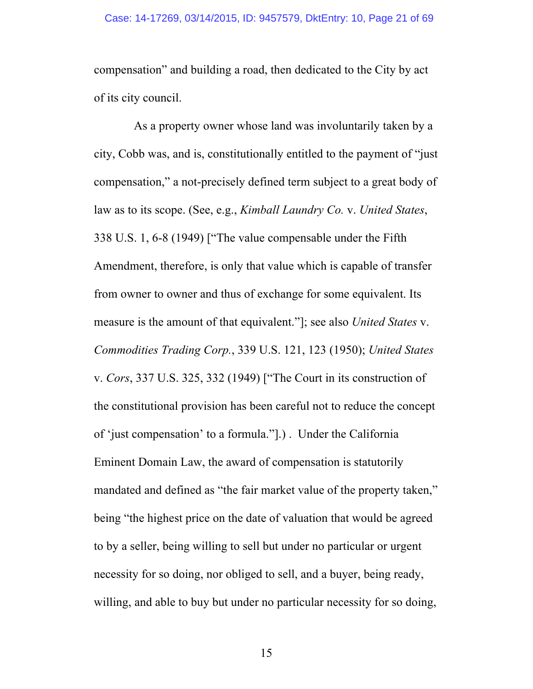compensation" and building a road, then dedicated to the City by act of its city council.

As a property owner whose land was involuntarily taken by a city, Cobb was, and is, constitutionally entitled to the payment of "just compensation," a not-precisely defined term subject to a great body of law as to its scope. (See, e.g., *Kimball Laundry Co.* v. *United States*, 338 U.S. 1, 6-8 (1949) ["The value compensable under the Fifth Amendment, therefore, is only that value which is capable of transfer from owner to owner and thus of exchange for some equivalent. Its measure is the amount of that equivalent."]; see also *United States* v. *Commodities Trading Corp.*, 339 U.S. 121, 123 (1950); *United States*  v. *Cors*, 337 U.S. 325, 332 (1949) ["The Court in its construction of the constitutional provision has been careful not to reduce the concept of 'just compensation' to a formula."].) . Under the California Eminent Domain Law, the award of compensation is statutorily mandated and defined as "the fair market value of the property taken," being "the highest price on the date of valuation that would be agreed to by a seller, being willing to sell but under no particular or urgent necessity for so doing, nor obliged to sell, and a buyer, being ready, willing, and able to buy but under no particular necessity for so doing,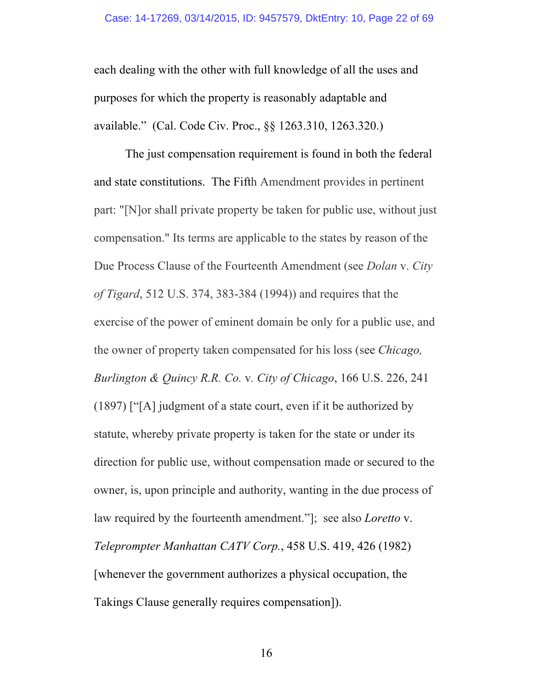each dealing with the other with full knowledge of all the uses and purposes for which the property is reasonably adaptable and available." (Cal. Code Civ. Proc., §§ 1263.310, 1263.320.)

The just compensation requirement is found in both the federal and state constitutions. The Fifth Amendment provides in pertinent part: "[N]or shall private property be taken for public use, without just compensation." Its terms are applicable to the states by reason of the Due Process Clause of the Fourteenth Amendment (see *Dolan* v. *City of Tigard*, 512 U.S. 374, 383-384 (1994)) and requires that the exercise of the power of eminent domain be only for a public use, and the owner of property taken compensated for his loss (see *Chicago, Burlington & Quincy R.R. Co.* v*. City of Chicago*, 166 U.S. 226, 241 (1897) ["[A] judgment of a state court, even if it be authorized by statute, whereby private property is taken for the state or under its direction for public use, without compensation made or secured to the owner, is, upon principle and authority, wanting in the due process of law required by the fourteenth amendment."]; see also *Loretto* v. *Teleprompter Manhattan CATV Corp.*, 458 U.S. 419, 426 (1982) [whenever the government authorizes a physical occupation, the Takings Clause generally requires compensation]).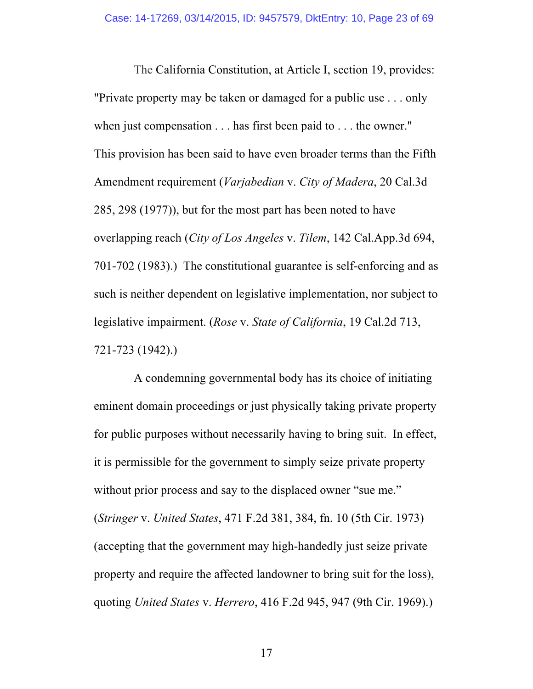The California Constitution, at Article I, section 19, provides: "Private property may be taken or damaged for a public use . . . only when just compensation . . . has first been paid to . . . the owner." This provision has been said to have even broader terms than the Fifth Amendment requirement (*Varjabedian* v. *City of Madera*, 20 Cal.3d 285, 298 (1977)), but for the most part has been noted to have overlapping reach (*City of Los Angeles* v. *Tilem*, 142 Cal.App.3d 694, 701-702 (1983).) The constitutional guarantee is self-enforcing and as such is neither dependent on legislative implementation, nor subject to legislative impairment. (*Rose* v. *State of California*, 19 Cal.2d 713, 721-723 (1942).)

A condemning governmental body has its choice of initiating eminent domain proceedings or just physically taking private property for public purposes without necessarily having to bring suit. In effect, it is permissible for the government to simply seize private property without prior process and say to the displaced owner "sue me." (*Stringer* v. *United States*, 471 F.2d 381, 384, fn. 10 (5th Cir. 1973) (accepting that the government may high-handedly just seize private property and require the affected landowner to bring suit for the loss), quoting *United States* v. *Herrero*, 416 F.2d 945, 947 (9th Cir. 1969).)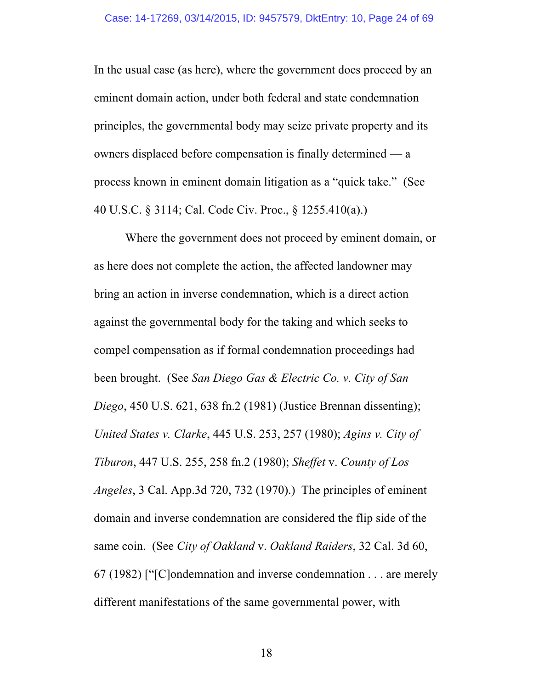In the usual case (as here), where the government does proceed by an eminent domain action, under both federal and state condemnation principles, the governmental body may seize private property and its owners displaced before compensation is finally determined — a process known in eminent domain litigation as a "quick take." (See 40 U.S.C. § 3114; Cal. Code Civ. Proc., § 1255.410(a).)

Where the government does not proceed by eminent domain, or as here does not complete the action, the affected landowner may bring an action in inverse condemnation, which is a direct action against the governmental body for the taking and which seeks to compel compensation as if formal condemnation proceedings had been brought. (See *San Diego Gas & Electric Co. v. City of San Diego*, 450 U.S. 621, 638 fn.2 (1981) (Justice Brennan dissenting); *United States v. Clarke*, 445 U.S. 253, 257 (1980); *Agins v. City of Tiburon*, 447 U.S. 255, 258 fn.2 (1980); *Sheffet* v. *County of Los Angeles*, 3 Cal. App.3d 720, 732 (1970).) The principles of eminent domain and inverse condemnation are considered the flip side of the same coin. (See *City of Oakland* v. *Oakland Raiders*, 32 Cal. 3d 60, 67 (1982) ["[C]ondemnation and inverse condemnation . . . are merely different manifestations of the same governmental power, with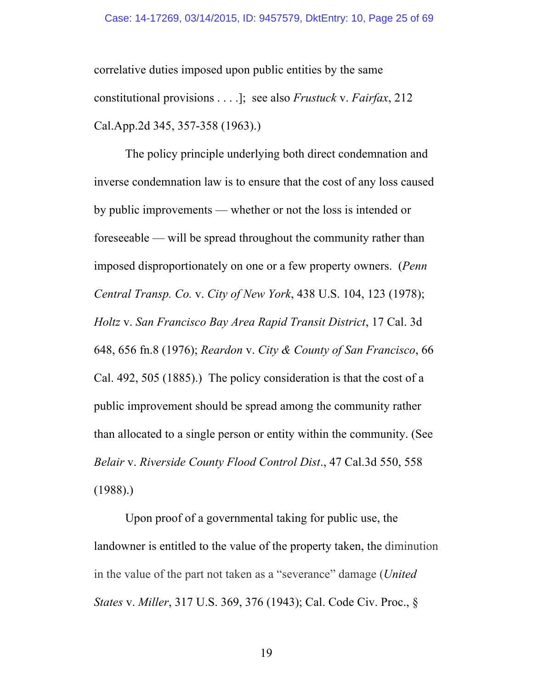correlative duties imposed upon public entities by the same constitutional provisions . . . .]; see also *Frustuck* v. *Fairfax*, 212 Cal.App.2d 345, 357-358 (1963).)

The policy principle underlying both direct condemnation and inverse condemnation law is to ensure that the cost of any loss caused by public improvements — whether or not the loss is intended or foreseeable — will be spread throughout the community rather than imposed disproportionately on one or a few property owners. (*Penn Central Transp. Co.* v. *City of New York*, 438 U.S. 104, 123 (1978); *Holtz* v. *San Francisco Bay Area Rapid Transit District*, 17 Cal. 3d 648, 656 fn.8 (1976); *Reardon* v. *City & County of San Francisco*, 66 Cal. 492, 505 (1885).) The policy consideration is that the cost of a public improvement should be spread among the community rather than allocated to a single person or entity within the community. (See *Belair* v. *Riverside County Flood Control Dist*., 47 Cal.3d 550, 558  $(1988).$ 

Upon proof of a governmental taking for public use, the landowner is entitled to the value of the property taken, the diminution in the value of the part not taken as a "severance" damage (*United States* v. *Miller*, 317 U.S. 369, 376 (1943); Cal. Code Civ. Proc., §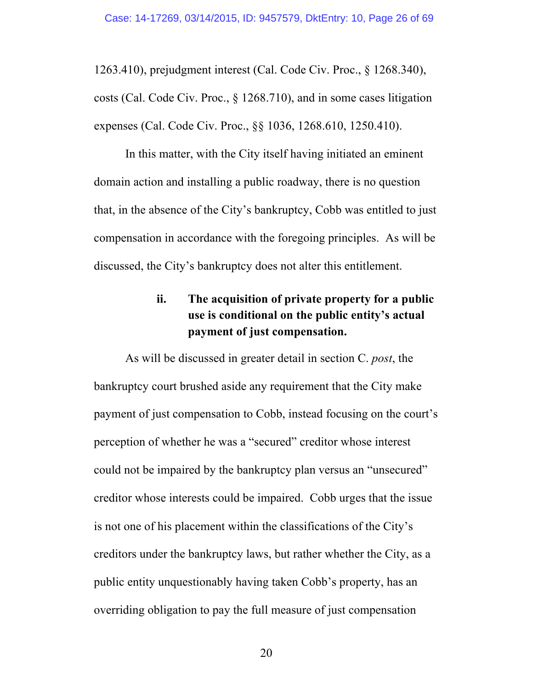1263.410), prejudgment interest (Cal. Code Civ. Proc., § 1268.340), costs (Cal. Code Civ. Proc., § 1268.710), and in some cases litigation expenses (Cal. Code Civ. Proc., §§ 1036, 1268.610, 1250.410).

In this matter, with the City itself having initiated an eminent domain action and installing a public roadway, there is no question that, in the absence of the City's bankruptcy, Cobb was entitled to just compensation in accordance with the foregoing principles. As will be discussed, the City's bankruptcy does not alter this entitlement.

## **ii. The acquisition of private property for a public use is conditional on the public entity's actual payment of just compensation.**

As will be discussed in greater detail in section C. *post*, the bankruptcy court brushed aside any requirement that the City make payment of just compensation to Cobb, instead focusing on the court's perception of whether he was a "secured" creditor whose interest could not be impaired by the bankruptcy plan versus an "unsecured" creditor whose interests could be impaired. Cobb urges that the issue is not one of his placement within the classifications of the City's creditors under the bankruptcy laws, but rather whether the City, as a public entity unquestionably having taken Cobb's property, has an overriding obligation to pay the full measure of just compensation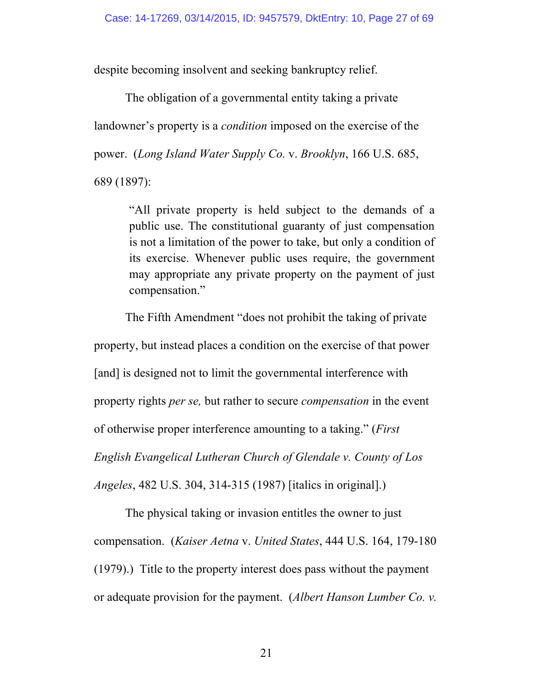despite becoming insolvent and seeking bankruptcy relief.

The obligation of a governmental entity taking a private landowner's property is a *condition* imposed on the exercise of the power. (*Long Island Water Supply Co.* v. *Brooklyn*, 166 U.S. 685, 689 (1897):

> "All private property is held subject to the demands of a public use. The constitutional guaranty of just compensation is not a limitation of the power to take, but only a condition of its exercise. Whenever public uses require, the government may appropriate any private property on the payment of just compensation."

The Fifth Amendment "does not prohibit the taking of private property, but instead places a condition on the exercise of that power [and] is designed not to limit the governmental interference with property rights *per se,* but rather to secure *compensation* in the event of otherwise proper interference amounting to a taking." (*First English Evangelical Lutheran Church of Glendale v. County of Los Angeles*, 482 U.S. 304, 314-315 (1987) [italics in original].)

The physical taking or invasion entitles the owner to just compensation. (*Kaiser Aetna* v. *United States*, 444 U.S. 164, 179-180 (1979).) Title to the property interest does pass without the payment or adequate provision for the payment. (*Albert Hanson Lumber Co. v.*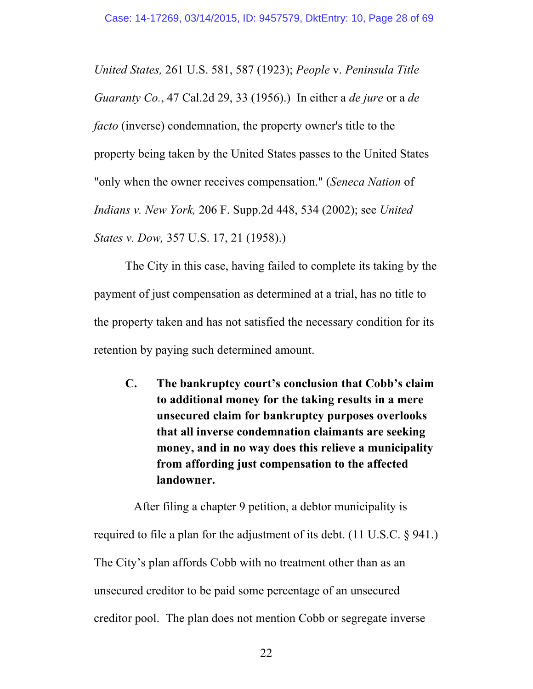*United States,* 261 U.S. 581, 587 (1923); *People* v. *Peninsula Title Guaranty Co.*, 47 Cal.2d 29, 33 (1956).) In either a *de jure* or a *de facto* (inverse) condemnation, the property owner's title to the property being taken by the United States passes to the United States "only when the owner receives compensation." (*Seneca Nation* of *Indians v. New York,* 206 F. Supp.2d 448, 534 (2002); see *United States v. Dow,* 357 U.S. 17, 21 (1958).)

The City in this case, having failed to complete its taking by the payment of just compensation as determined at a trial, has no title to the property taken and has not satisfied the necessary condition for its retention by paying such determined amount.

**C. The bankruptcy court's conclusion that Cobb's claim to additional money for the taking results in a mere unsecured claim for bankruptcy purposes overlooks that all inverse condemnation claimants are seeking money, and in no way does this relieve a municipality from affording just compensation to the affected landowner.**

After filing a chapter 9 petition, a debtor municipality is required to file a plan for the adjustment of its debt. (11 U.S.C. § 941.) The City's plan affords Cobb with no treatment other than as an unsecured creditor to be paid some percentage of an unsecured creditor pool. The plan does not mention Cobb or segregate inverse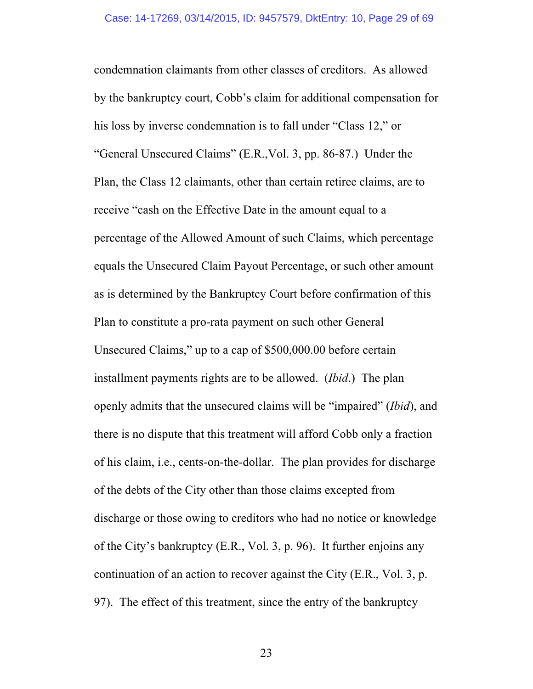condemnation claimants from other classes of creditors. As allowed by the bankruptcy court, Cobb's claim for additional compensation for his loss by inverse condemnation is to fall under "Class 12," or "General Unsecured Claims" (E.R.,Vol. 3, pp. 86-87.) Under the Plan, the Class 12 claimants, other than certain retiree claims, are to receive "cash on the Effective Date in the amount equal to a percentage of the Allowed Amount of such Claims, which percentage equals the Unsecured Claim Payout Percentage, or such other amount as is determined by the Bankruptcy Court before confirmation of this Plan to constitute a pro-rata payment on such other General Unsecured Claims," up to a cap of \$500,000.00 before certain installment payments rights are to be allowed. (*Ibid*.) The plan openly admits that the unsecured claims will be "impaired" (*Ibid*), and there is no dispute that this treatment will afford Cobb only a fraction of his claim, i.e., cents-on-the-dollar. The plan provides for discharge of the debts of the City other than those claims excepted from discharge or those owing to creditors who had no notice or knowledge of the City's bankruptcy (E.R., Vol. 3, p. 96). It further enjoins any continuation of an action to recover against the City (E.R., Vol. 3, p. 97). The effect of this treatment, since the entry of the bankruptcy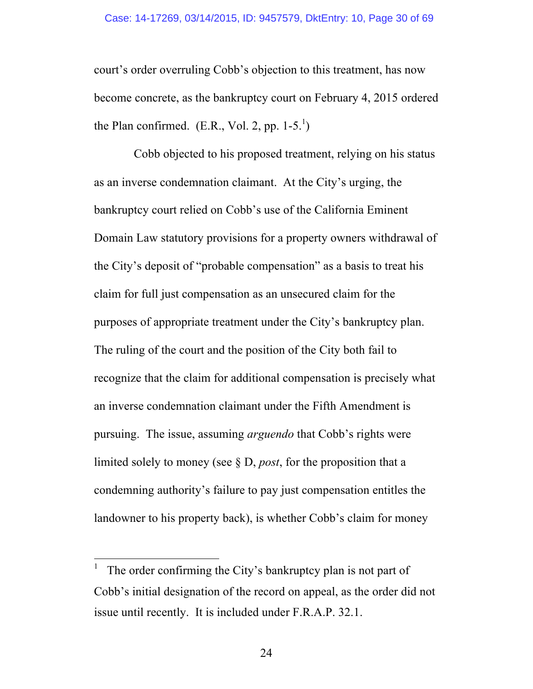court's order overruling Cobb's objection to this treatment, has now become concrete, as the bankruptcy court on February 4, 2015 ordered the Plan confirmed.  $(E.R., Vol. 2, pp. 1-5.<sup>1</sup>)$ 

Cobb objected to his proposed treatment, relying on his status as an inverse condemnation claimant. At the City's urging, the bankruptcy court relied on Cobb's use of the California Eminent Domain Law statutory provisions for a property owners withdrawal of the City's deposit of "probable compensation" as a basis to treat his claim for full just compensation as an unsecured claim for the purposes of appropriate treatment under the City's bankruptcy plan. The ruling of the court and the position of the City both fail to recognize that the claim for additional compensation is precisely what an inverse condemnation claimant under the Fifth Amendment is pursuing. The issue, assuming *arguendo* that Cobb's rights were limited solely to money (see § D, *post*, for the proposition that a condemning authority's failure to pay just compensation entitles the landowner to his property back), is whether Cobb's claim for money

<sup>&</sup>lt;sup>1</sup> The order confirming the City's bankruptcy plan is not part of Cobb's initial designation of the record on appeal, as the order did not issue until recently. It is included under F.R.A.P. 32.1.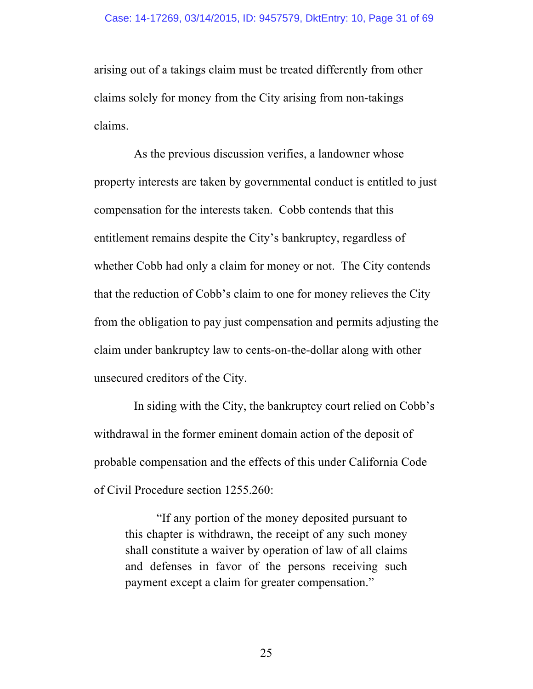arising out of a takings claim must be treated differently from other claims solely for money from the City arising from non-takings claims.

As the previous discussion verifies, a landowner whose property interests are taken by governmental conduct is entitled to just compensation for the interests taken. Cobb contends that this entitlement remains despite the City's bankruptcy, regardless of whether Cobb had only a claim for money or not. The City contends that the reduction of Cobb's claim to one for money relieves the City from the obligation to pay just compensation and permits adjusting the claim under bankruptcy law to cents-on-the-dollar along with other unsecured creditors of the City.

In siding with the City, the bankruptcy court relied on Cobb's withdrawal in the former eminent domain action of the deposit of probable compensation and the effects of this under California Code of Civil Procedure section 1255.260:

"If any portion of the money deposited pursuant to this chapter is withdrawn, the receipt of any such money shall constitute a waiver by operation of law of all claims and defenses in favor of the persons receiving such payment except a claim for greater compensation."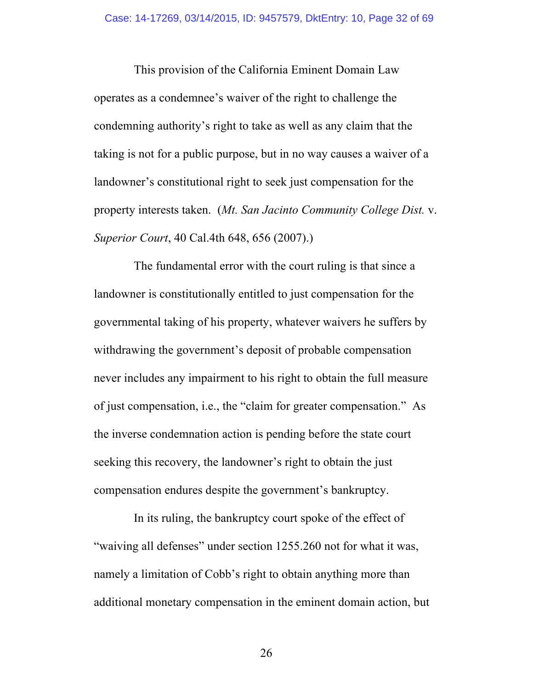This provision of the California Eminent Domain Law operates as a condemnee's waiver of the right to challenge the condemning authority's right to take as well as any claim that the taking is not for a public purpose, but in no way causes a waiver of a landowner's constitutional right to seek just compensation for the property interests taken. (*Mt. San Jacinto Community College Dist.* v. *Superior Court*, 40 Cal.4th 648, 656 (2007).)

The fundamental error with the court ruling is that since a landowner is constitutionally entitled to just compensation for the governmental taking of his property, whatever waivers he suffers by withdrawing the government's deposit of probable compensation never includes any impairment to his right to obtain the full measure of just compensation, i.e., the "claim for greater compensation." As the inverse condemnation action is pending before the state court seeking this recovery, the landowner's right to obtain the just compensation endures despite the government's bankruptcy.

In its ruling, the bankruptcy court spoke of the effect of "waiving all defenses" under section 1255.260 not for what it was, namely a limitation of Cobb's right to obtain anything more than additional monetary compensation in the eminent domain action, but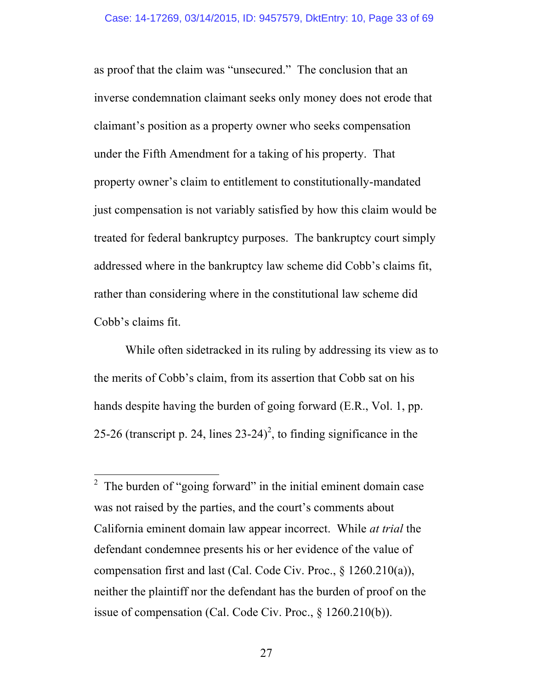as proof that the claim was "unsecured." The conclusion that an inverse condemnation claimant seeks only money does not erode that claimant's position as a property owner who seeks compensation under the Fifth Amendment for a taking of his property. That property owner's claim to entitlement to constitutionally-mandated just compensation is not variably satisfied by how this claim would be treated for federal bankruptcy purposes. The bankruptcy court simply addressed where in the bankruptcy law scheme did Cobb's claims fit, rather than considering where in the constitutional law scheme did Cobb's claims fit.

While often sidetracked in its ruling by addressing its view as to the merits of Cobb's claim, from its assertion that Cobb sat on his hands despite having the burden of going forward (E.R., Vol. 1, pp. 25-26 (transcript p. 24, lines  $23-24$ )<sup>2</sup>, to finding significance in the

<sup>&</sup>lt;sup>2</sup> The burden of "going forward" in the initial eminent domain case was not raised by the parties, and the court's comments about California eminent domain law appear incorrect. While *at trial* the defendant condemnee presents his or her evidence of the value of compensation first and last (Cal. Code Civ. Proc., § 1260.210(a)), neither the plaintiff nor the defendant has the burden of proof on the issue of compensation (Cal. Code Civ. Proc., § 1260.210(b)).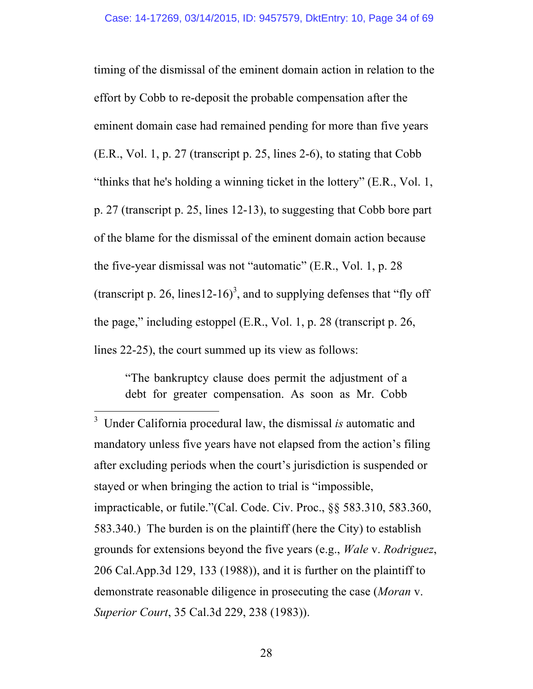timing of the dismissal of the eminent domain action in relation to the effort by Cobb to re-deposit the probable compensation after the eminent domain case had remained pending for more than five years (E.R., Vol. 1, p. 27 (transcript p. 25, lines 2-6), to stating that Cobb "thinks that he's holding a winning ticket in the lottery" (E.R., Vol. 1, p. 27 (transcript p. 25, lines 12-13), to suggesting that Cobb bore part of the blame for the dismissal of the eminent domain action because the five-year dismissal was not "automatic" (E.R., Vol. 1, p. 28 (transcript p. 26, lines  $(12-16)^3$ , and to supplying defenses that "fly off" the page," including estoppel (E.R., Vol. 1, p. 28 (transcript p. 26, lines 22-25), the court summed up its view as follows:

"The bankruptcy clause does permit the adjustment of a debt for greater compensation. As soon as Mr. Cobb

 <sup>3</sup> Under California procedural law, the dismissal *is* automatic and mandatory unless five years have not elapsed from the action's filing after excluding periods when the court's jurisdiction is suspended or stayed or when bringing the action to trial is "impossible, impracticable, or futile."(Cal. Code. Civ. Proc., §§ 583.310, 583.360, 583.340.) The burden is on the plaintiff (here the City) to establish grounds for extensions beyond the five years (e.g., *Wale* v. *Rodriguez*, 206 Cal.App.3d 129, 133 (1988)), and it is further on the plaintiff to demonstrate reasonable diligence in prosecuting the case (*Moran* v. *Superior Court*, 35 Cal.3d 229, 238 (1983)).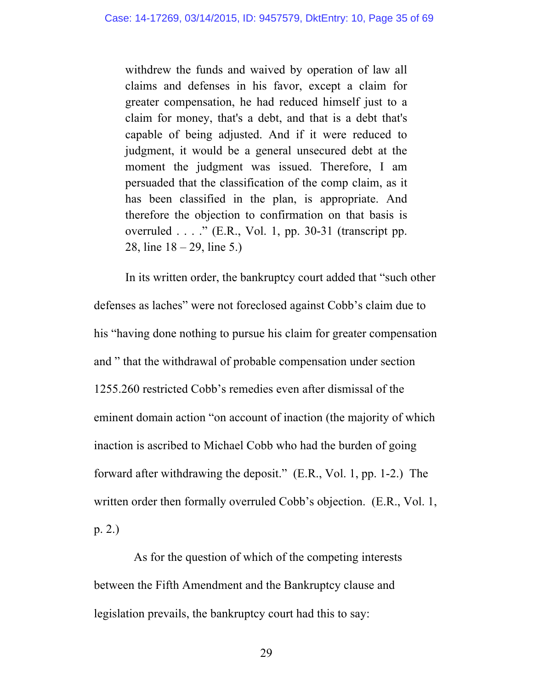withdrew the funds and waived by operation of law all claims and defenses in his favor, except a claim for greater compensation, he had reduced himself just to a claim for money, that's a debt, and that is a debt that's capable of being adjusted. And if it were reduced to judgment, it would be a general unsecured debt at the moment the judgment was issued. Therefore, I am persuaded that the classification of the comp claim, as it has been classified in the plan, is appropriate. And therefore the objection to confirmation on that basis is overruled . . . ." (E.R., Vol. 1, pp. 30-31 (transcript pp. 28, line  $18 - 29$ , line 5.)

In its written order, the bankruptcy court added that "such other defenses as laches" were not foreclosed against Cobb's claim due to his "having done nothing to pursue his claim for greater compensation and " that the withdrawal of probable compensation under section 1255.260 restricted Cobb's remedies even after dismissal of the eminent domain action "on account of inaction (the majority of which inaction is ascribed to Michael Cobb who had the burden of going forward after withdrawing the deposit." (E.R., Vol. 1, pp. 1-2.) The written order then formally overruled Cobb's objection. (E.R., Vol. 1, p. 2.)

As for the question of which of the competing interests between the Fifth Amendment and the Bankruptcy clause and legislation prevails, the bankruptcy court had this to say: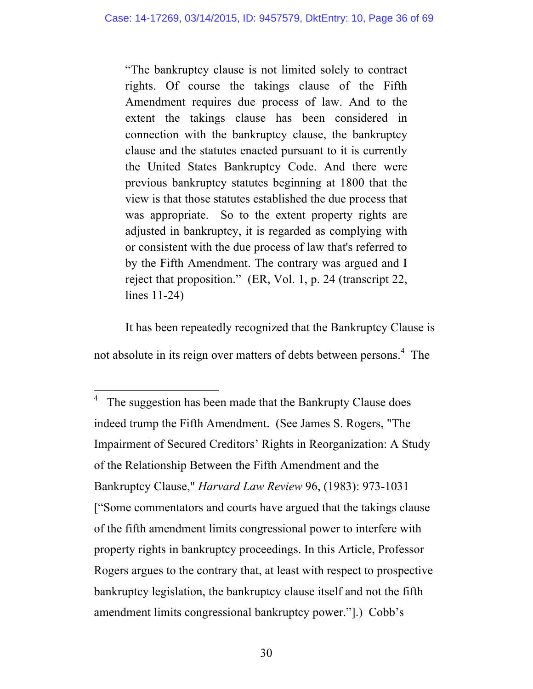"The bankruptcy clause is not limited solely to contract rights. Of course the takings clause of the Fifth Amendment requires due process of law. And to the extent the takings clause has been considered in connection with the bankruptcy clause, the bankruptcy clause and the statutes enacted pursuant to it is currently the United States Bankruptcy Code. And there were previous bankruptcy statutes beginning at 1800 that the view is that those statutes established the due process that was appropriate. So to the extent property rights are adjusted in bankruptcy, it is regarded as complying with or consistent with the due process of law that's referred to by the Fifth Amendment. The contrary was argued and I reject that proposition." (ER, Vol. 1, p. 24 (transcript 22, lines 11-24)

It has been repeatedly recognized that the Bankruptcy Clause is not absolute in its reign over matters of debts between persons.<sup>4</sup> The

<sup>&</sup>lt;sup>4</sup> The suggestion has been made that the Bankrupty Clause does indeed trump the Fifth Amendment. (See James S. Rogers, "The Impairment of Secured Creditors' Rights in Reorganization: A Study of the Relationship Between the Fifth Amendment and the Bankruptcy Clause," *Harvard Law Review* 96, (1983): 973-1031 ["Some commentators and courts have argued that the takings clause of the fifth amendment limits congressional power to interfere with property rights in bankruptcy proceedings. In this Article, Professor Rogers argues to the contrary that, at least with respect to prospective bankruptcy legislation, the bankruptcy clause itself and not the fifth amendment limits congressional bankruptcy power."].) Cobb's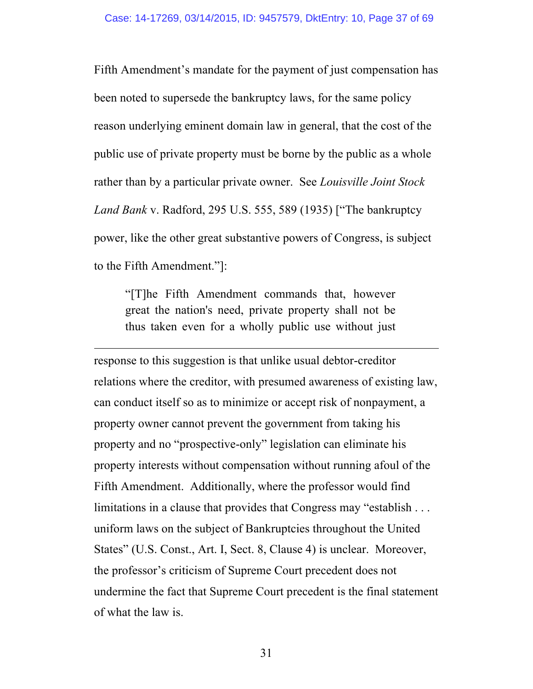Fifth Amendment's mandate for the payment of just compensation has been noted to supersede the bankruptcy laws, for the same policy reason underlying eminent domain law in general, that the cost of the public use of private property must be borne by the public as a whole rather than by a particular private owner. See *Louisville Joint Stock Land Bank* v. Radford, 295 U.S. 555, 589 (1935) ["The bankruptcy power, like the other great substantive powers of Congress, is subject to the Fifth Amendment."]:

"[T]he Fifth Amendment commands that, however great the nation's need, private property shall not be thus taken even for a wholly public use without just

<u> 1989 - Andrea Santa Andrea Andrea Andrea Andrea Andrea Andrea Andrea Andrea Andrea Andrea Andrea Andrea Andr</u>

response to this suggestion is that unlike usual debtor-creditor relations where the creditor, with presumed awareness of existing law, can conduct itself so as to minimize or accept risk of nonpayment, a property owner cannot prevent the government from taking his property and no "prospective-only" legislation can eliminate his property interests without compensation without running afoul of the Fifth Amendment. Additionally, where the professor would find limitations in a clause that provides that Congress may "establish . . . uniform laws on the subject of Bankruptcies throughout the United States" (U.S. Const., Art. I, Sect. 8, Clause 4) is unclear. Moreover, the professor's criticism of Supreme Court precedent does not undermine the fact that Supreme Court precedent is the final statement of what the law is.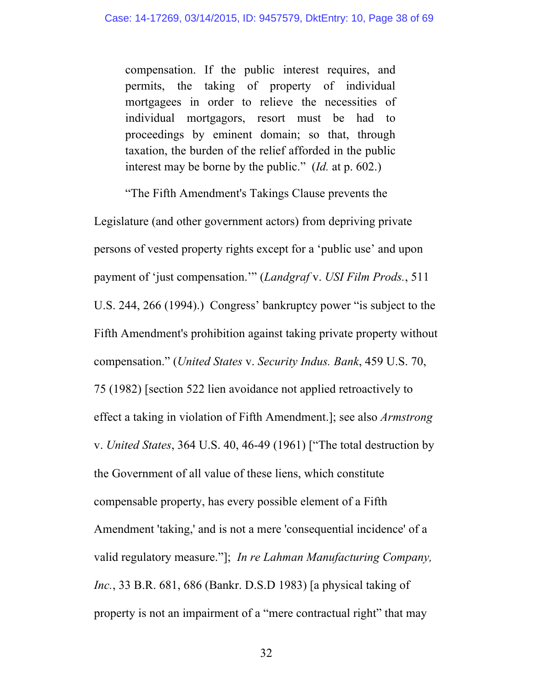compensation. If the public interest requires, and permits, the taking of property of individual mortgagees in order to relieve the necessities of individual mortgagors, resort must be had to proceedings by eminent domain; so that, through taxation, the burden of the relief afforded in the public interest may be borne by the public." (*Id.* at p. 602.)

"The Fifth Amendment's Takings Clause prevents the

Legislature (and other government actors) from depriving private persons of vested property rights except for a 'public use' and upon payment of 'just compensation.'" (*Landgraf* v. *USI Film Prods.*, 511 U.S. 244, 266 (1994).) Congress' bankruptcy power "is subject to the Fifth Amendment's prohibition against taking private property without compensation." (*United States* v. *Security Indus. Bank*, 459 U.S. 70, 75 (1982) [section 522 lien avoidance not applied retroactively to effect a taking in violation of Fifth Amendment.]; see also *Armstrong* v. *United States*, 364 U.S. 40, 46-49 (1961) ["The total destruction by the Government of all value of these liens, which constitute compensable property, has every possible element of a Fifth Amendment 'taking,' and is not a mere 'consequential incidence' of a valid regulatory measure."]; *In re Lahman Manufacturing Company, Inc.*, 33 B.R. 681, 686 (Bankr. D.S.D 1983) [a physical taking of property is not an impairment of a "mere contractual right" that may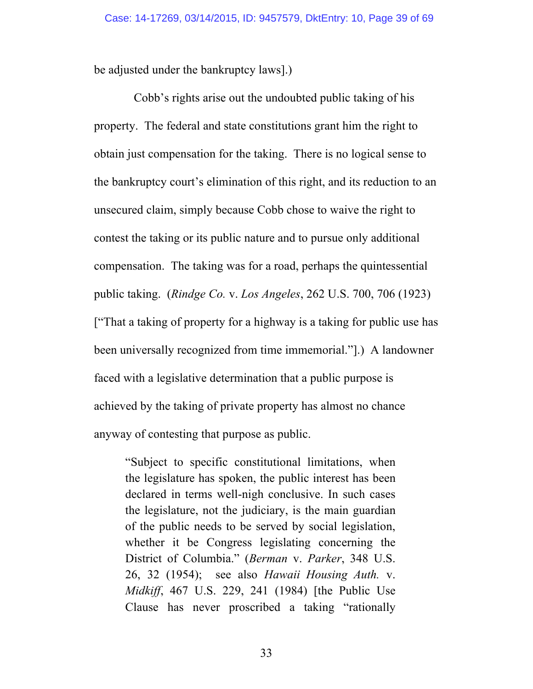be adjusted under the bankruptcy laws].)

Cobb's rights arise out the undoubted public taking of his property. The federal and state constitutions grant him the right to obtain just compensation for the taking. There is no logical sense to the bankruptcy court's elimination of this right, and its reduction to an unsecured claim, simply because Cobb chose to waive the right to contest the taking or its public nature and to pursue only additional compensation. The taking was for a road, perhaps the quintessential public taking. (*Rindge Co.* v. *Los Angeles*, 262 U.S. 700, 706 (1923) ["That a taking of property for a highway is a taking for public use has been universally recognized from time immemorial."].) A landowner faced with a legislative determination that a public purpose is achieved by the taking of private property has almost no chance anyway of contesting that purpose as public.

"Subject to specific constitutional limitations, when the legislature has spoken, the public interest has been declared in terms well-nigh conclusive. In such cases the legislature, not the judiciary, is the main guardian of the public needs to be served by social legislation, whether it be Congress legislating concerning the District of Columbia." (*Berman* v. *Parker*, 348 U.S. 26, 32 (1954); see also *Hawaii Housing Auth.* v. *Midkiff*, 467 U.S. 229, 241 (1984) [the Public Use Clause has never proscribed a taking "rationally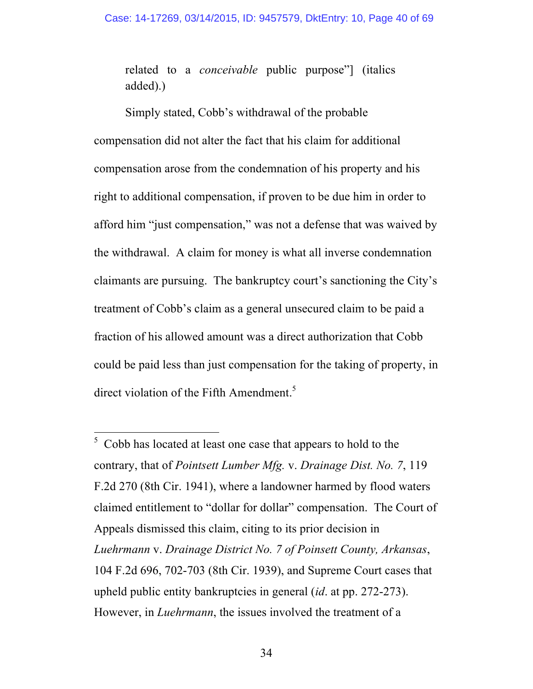related to a *conceivable* public purpose"] (italics added).)

Simply stated, Cobb's withdrawal of the probable compensation did not alter the fact that his claim for additional compensation arose from the condemnation of his property and his right to additional compensation, if proven to be due him in order to afford him "just compensation," was not a defense that was waived by the withdrawal. A claim for money is what all inverse condemnation claimants are pursuing. The bankruptcy court's sanctioning the City's treatment of Cobb's claim as a general unsecured claim to be paid a fraction of his allowed amount was a direct authorization that Cobb could be paid less than just compensation for the taking of property, in direct violation of the Fifth Amendment.<sup>5</sup>

<sup>&</sup>lt;sup>5</sup> Cobb has located at least one case that appears to hold to the contrary, that of *Pointsett Lumber Mfg.* v. *Drainage Dist. No. 7*, 119 F.2d 270 (8th Cir. 1941), where a landowner harmed by flood waters claimed entitlement to "dollar for dollar" compensation. The Court of Appeals dismissed this claim, citing to its prior decision in *Luehrmann* v. *Drainage District No. 7 of Poinsett County, Arkansas*, 104 F.2d 696, 702-703 (8th Cir. 1939), and Supreme Court cases that upheld public entity bankruptcies in general (*id*. at pp. 272-273). However, in *Luehrmann*, the issues involved the treatment of a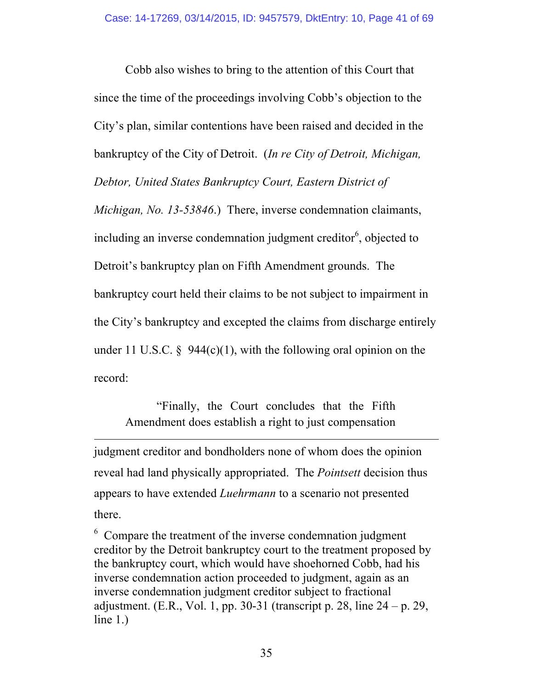Cobb also wishes to bring to the attention of this Court that since the time of the proceedings involving Cobb's objection to the City's plan, similar contentions have been raised and decided in the bankruptcy of the City of Detroit. (*In re City of Detroit, Michigan,* 

*Debtor, United States Bankruptcy Court, Eastern District of* 

*Michigan, No. 13-53846*.)There, inverse condemnation claimants, including an inverse condemnation judgment creditor $6$ , objected to Detroit's bankruptcy plan on Fifth Amendment grounds. The bankruptcy court held their claims to be not subject to impairment in the City's bankruptcy and excepted the claims from discharge entirely under 11 U.S.C.  $\S$  944(c)(1), with the following oral opinion on the record:

"Finally, the Court concludes that the Fifth Amendment does establish a right to just compensation

<u> 1989 - Andrea Santa Andrea Andrea Andrea Andrea Andrea Andrea Andrea Andrea Andrea Andrea Andrea Andrea Andr</u> judgment creditor and bondholders none of whom does the opinion reveal had land physically appropriated. The *Pointsett* decision thus appears to have extended *Luehrmann* to a scenario not presented there.

<sup>6</sup> Compare the treatment of the inverse condemnation judgment creditor by the Detroit bankruptcy court to the treatment proposed by the bankruptcy court, which would have shoehorned Cobb, had his inverse condemnation action proceeded to judgment, again as an inverse condemnation judgment creditor subject to fractional adjustment. (E.R., Vol. 1, pp. 30-31 (transcript p. 28, line  $24 - p$ , 29, line 1.)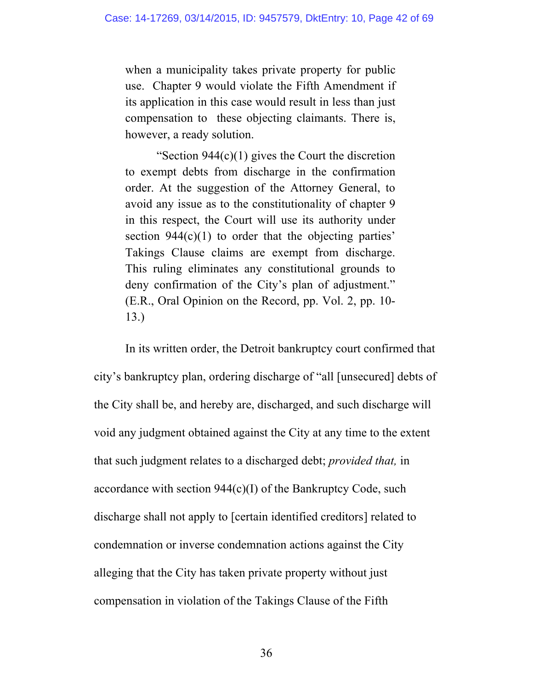when a municipality takes private property for public use. Chapter 9 would violate the Fifth Amendment if its application in this case would result in less than just compensation to these objecting claimants. There is, however, a ready solution.

"Section  $944(c)(1)$  gives the Court the discretion to exempt debts from discharge in the confirmation order. At the suggestion of the Attorney General, to avoid any issue as to the constitutionality of chapter 9 in this respect, the Court will use its authority under section  $944(c)(1)$  to order that the objecting parties' Takings Clause claims are exempt from discharge. This ruling eliminates any constitutional grounds to deny confirmation of the City's plan of adjustment." (E.R., Oral Opinion on the Record, pp. Vol. 2, pp. 10- 13.)

In its written order, the Detroit bankruptcy court confirmed that city's bankruptcy plan, ordering discharge of "all [unsecured] debts of the City shall be, and hereby are, discharged, and such discharge will void any judgment obtained against the City at any time to the extent that such judgment relates to a discharged debt; *provided that,* in accordance with section  $944(c)(I)$  of the Bankruptcy Code, such discharge shall not apply to [certain identified creditors] related to condemnation or inverse condemnation actions against the City alleging that the City has taken private property without just compensation in violation of the Takings Clause of the Fifth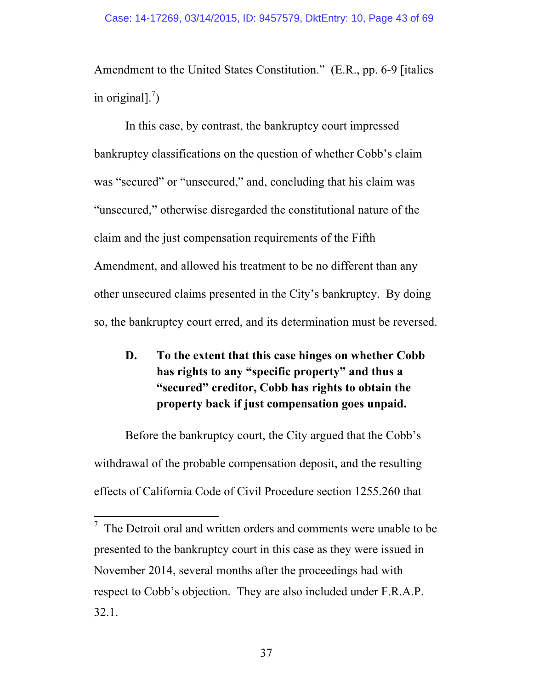Amendment to the United States Constitution." (E.R., pp. 6-9 [italics in original]. $^7$ )

In this case, by contrast, the bankruptcy court impressed bankruptcy classifications on the question of whether Cobb's claim was "secured" or "unsecured," and, concluding that his claim was "unsecured," otherwise disregarded the constitutional nature of the claim and the just compensation requirements of the Fifth Amendment, and allowed his treatment to be no different than any other unsecured claims presented in the City's bankruptcy. By doing so, the bankruptcy court erred, and its determination must be reversed.

**D. To the extent that this case hinges on whether Cobb has rights to any "specific property" and thus a "secured" creditor, Cobb has rights to obtain the property back if just compensation goes unpaid.**

Before the bankruptcy court, the City argued that the Cobb's withdrawal of the probable compensation deposit, and the resulting effects of California Code of Civil Procedure section 1255.260 that

<sup>&</sup>lt;sup>7</sup> The Detroit oral and written orders and comments were unable to be presented to the bankruptcy court in this case as they were issued in November 2014, several months after the proceedings had with respect to Cobb's objection. They are also included under F.R.A.P. 32.1.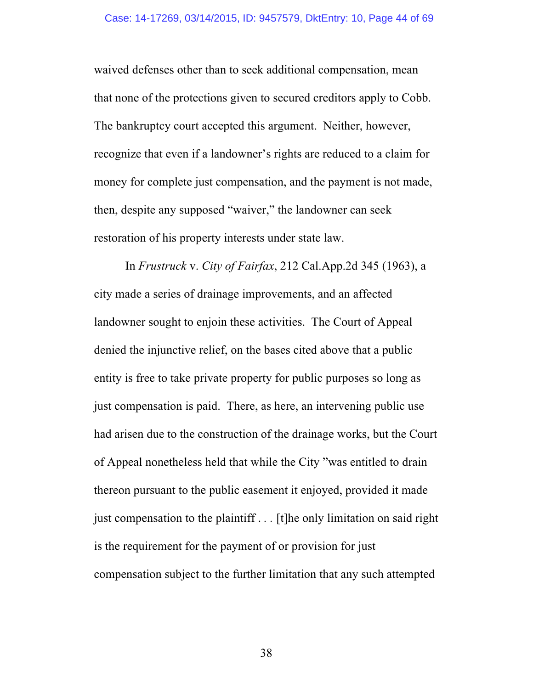waived defenses other than to seek additional compensation, mean that none of the protections given to secured creditors apply to Cobb. The bankruptcy court accepted this argument. Neither, however, recognize that even if a landowner's rights are reduced to a claim for money for complete just compensation, and the payment is not made, then, despite any supposed "waiver," the landowner can seek restoration of his property interests under state law.

In *Frustruck* v. *City of Fairfax*, 212 Cal.App.2d 345 (1963), a city made a series of drainage improvements, and an affected landowner sought to enjoin these activities. The Court of Appeal denied the injunctive relief, on the bases cited above that a public entity is free to take private property for public purposes so long as just compensation is paid. There, as here, an intervening public use had arisen due to the construction of the drainage works, but the Court of Appeal nonetheless held that while the City "was entitled to drain thereon pursuant to the public easement it enjoyed, provided it made just compensation to the plaintiff . *. .* [t]he only limitation on said right is the requirement for the payment of or provision for just compensation subject to the further limitation that any such attempted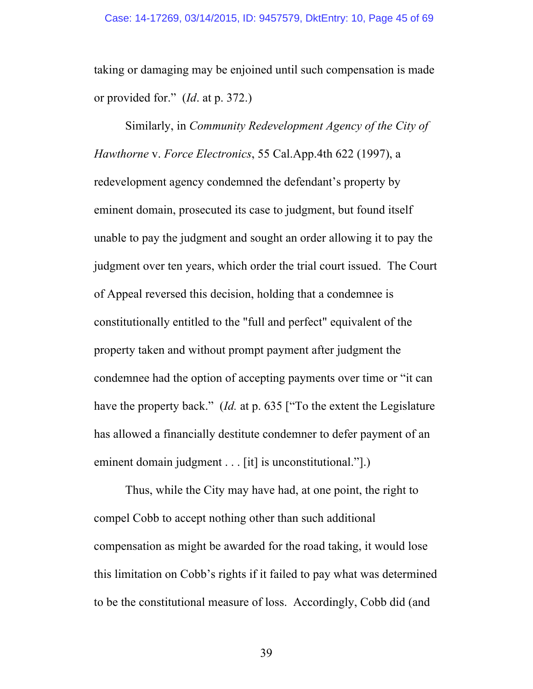taking or damaging may be enjoined until such compensation is made or provided for." (*Id*. at p. 372.)

Similarly, in *Community Redevelopment Agency of the City of Hawthorne* v. *Force Electronics*, 55 Cal.App.4th 622 (1997), a redevelopment agency condemned the defendant's property by eminent domain, prosecuted its case to judgment, but found itself unable to pay the judgment and sought an order allowing it to pay the judgment over ten years, which order the trial court issued. The Court of Appeal reversed this decision, holding that a condemnee is constitutionally entitled to the "full and perfect" equivalent of the property taken and without prompt payment after judgment the condemnee had the option of accepting payments over time or "it can have the property back." (*Id.* at p. 635 ["To the extent the Legislature has allowed a financially destitute condemner to defer payment of an eminent domain judgment . . . [it] is unconstitutional."].)

Thus, while the City may have had, at one point, the right to compel Cobb to accept nothing other than such additional compensation as might be awarded for the road taking, it would lose this limitation on Cobb's rights if it failed to pay what was determined to be the constitutional measure of loss. Accordingly, Cobb did (and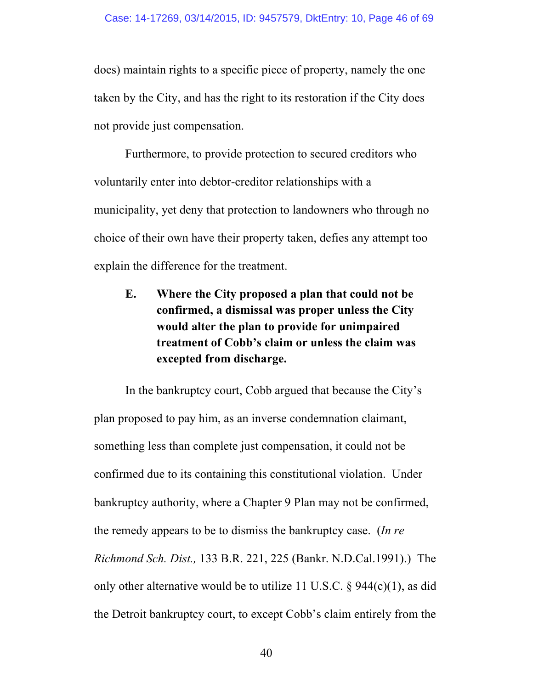does) maintain rights to a specific piece of property, namely the one taken by the City, and has the right to its restoration if the City does not provide just compensation.

Furthermore, to provide protection to secured creditors who voluntarily enter into debtor-creditor relationships with a municipality, yet deny that protection to landowners who through no choice of their own have their property taken, defies any attempt too explain the difference for the treatment.

**E. Where the City proposed a plan that could not be confirmed, a dismissal was proper unless the City would alter the plan to provide for unimpaired treatment of Cobb's claim or unless the claim was excepted from discharge.**

In the bankruptcy court, Cobb argued that because the City's plan proposed to pay him, as an inverse condemnation claimant, something less than complete just compensation, it could not be confirmed due to its containing this constitutional violation. Under bankruptcy authority, where a Chapter 9 Plan may not be confirmed, the remedy appears to be to dismiss the bankruptcy case. (*In re Richmond Sch. Dist.,* 133 B.R. 221, 225 (Bankr. N.D.Cal.1991).) The only other alternative would be to utilize 11 U.S.C.  $\S$  944(c)(1), as did the Detroit bankruptcy court, to except Cobb's claim entirely from the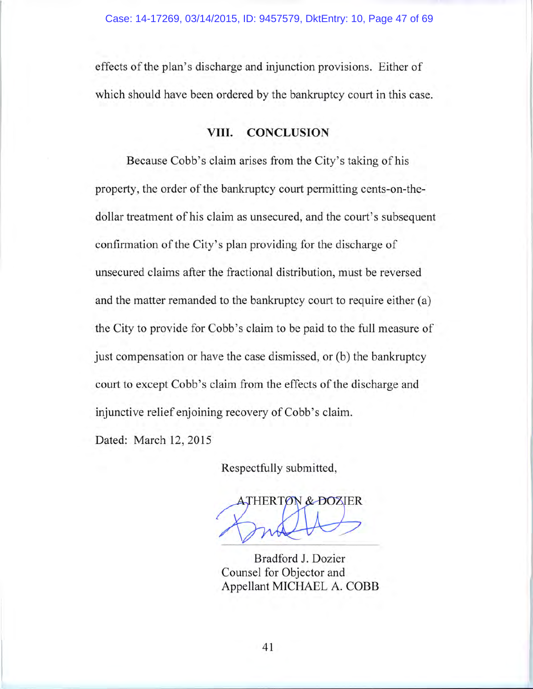effects of the plan's discharge and injunction provisions. Either of which should have been ordered by the bankruptcy court in this case.

#### **VIII. CONCLUSION**

Because Cobb's claim arises from the City's taking of his property, the order of the bankruptcy court permitting cents-on-thedollar treatment of his claim as unsecured, and the court's subsequent confirmation of the City's plan providing for the discharge of unsecured claims after the fractional distribution, must be reversed and the matter remanded to the bankruptcy court to require either (a) the City to provide for Cobb's claim to be paid to the full measure of just compensation or have the case dismissed, or (b) the bankruptcy court to except Cobb's claim from the effects of the discharge and injunctive relief enjoining recovery of Cobb's claim.

Dated: March 12, 2015

Respectfully submitted,

**ATHERTON & DOZIER** 

Bradford J. Dozier Counsel for Objector and Appellant MICHAEL A. COBB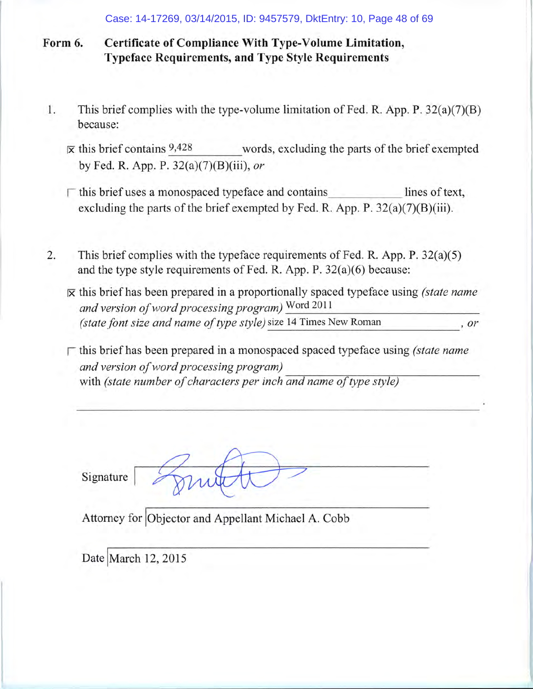#### Case: 14-17269, 03/14/2015, ID: 9457579, DktEntry: 10, Page 48 of 69

### **Form 6. Certificate of Compliance With Type-Volume Limitation, Typeface Requirements, and Type Style Requirements**

- 1. This brief complies with the type-volume limitation of Fed. R. App. P. 32(a)(7)(B) because:
	- $\overline{\mathsf{x}}$  this brief contains 9,428 words, excluding the parts of the brief exempted by Fed. R. App. P. 32(a)(7)(B)(iii), *or*

 $\Gamma$  this brief uses a monospaced typeface and contains lines of text, excluding the parts of the brief exempted by Fed. R. App. P.  $32(a)(7)(B)(iii)$ .

- 2. This brief complies with the typeface requirements of Fed. R. App. P. 32(a)(5) and the type style requirements of Fed. R. App. P. 32(a)(6) because:
	- $\overline{X}$  this brief has been prepared in a proportionally spaced typeface using *(state name*) and version of word processing program) Word 2011 *(state font size and name of type style)* size 14 Times New Roman , *or*
	- $\Gamma$  this brief has been prepared in a monospaced spaced typeface using *(state name*) *and version of word processing program)*<br>with *(state number of characters per inch and name of type style)*

 $Signature$   $\sqrt{3}$ 

Attorney for Objector and Appellant Michael A. Cobb

Date March 12, 2015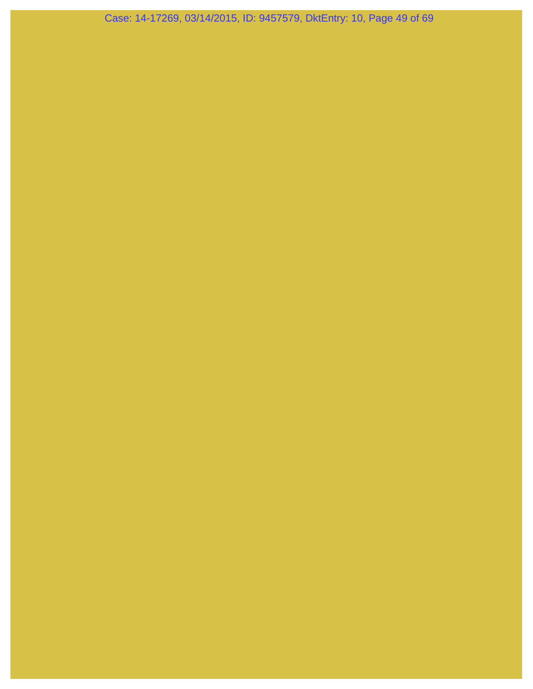Case: 14-17269, 03/14/2015, ID: 9457579, DktEntry: 10, Page 49 of 69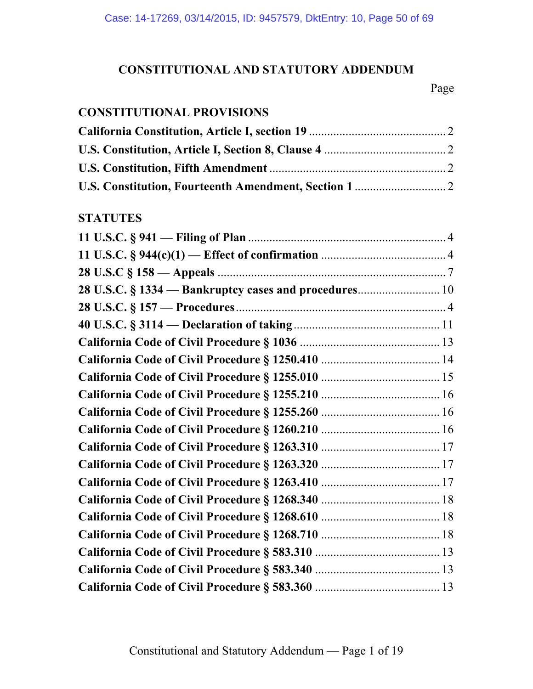### **CONSTITUTIONAL AND STATUTORY ADDENDUM**

#### Page

### **CONSTITUTIONAL PROVISIONS**

#### **STATUTES**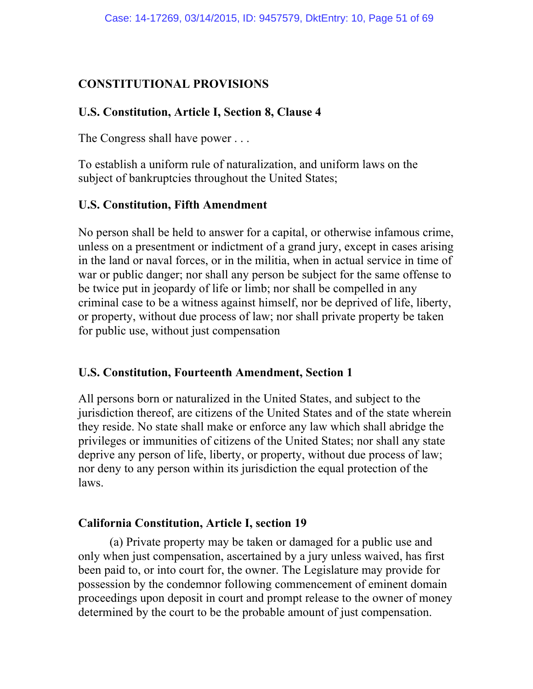### **CONSTITUTIONAL PROVISIONS**

### **U.S. Constitution, Article I, Section 8, Clause 4**

The Congress shall have power . . .

To establish a uniform rule of naturalization, and uniform laws on the subject of bankruptcies throughout the United States;

#### **U.S. Constitution, Fifth Amendment**

No person shall be held to answer for a capital, or otherwise infamous crime, unless on a presentment or indictment of a grand jury, except in cases arising in the land or naval forces, or in the militia, when in actual service in time of war or public danger; nor shall any person be subject for the same offense to be twice put in jeopardy of life or limb; nor shall be compelled in any criminal case to be a witness against himself, nor be deprived of life, liberty, or property, without due process of law; nor shall private property be taken for public use, without just compensation

#### **U.S. Constitution, Fourteenth Amendment, Section 1**

All persons born or naturalized in the United States, and subject to the jurisdiction thereof, are citizens of the United States and of the state wherein they reside. No state shall make or enforce any law which shall abridge the privileges or immunities of citizens of the United States; nor shall any state deprive any person of life, liberty, or property, without due process of law; nor deny to any person within its jurisdiction the equal protection of the laws.

### **California Constitution, Article I, section 19**

(a) Private property may be taken or damaged for a public use and only when just compensation, ascertained by a jury unless waived, has first been paid to, or into court for, the owner. The Legislature may provide for possession by the condemnor following commencement of eminent domain proceedings upon deposit in court and prompt release to the owner of money determined by the court to be the probable amount of just compensation.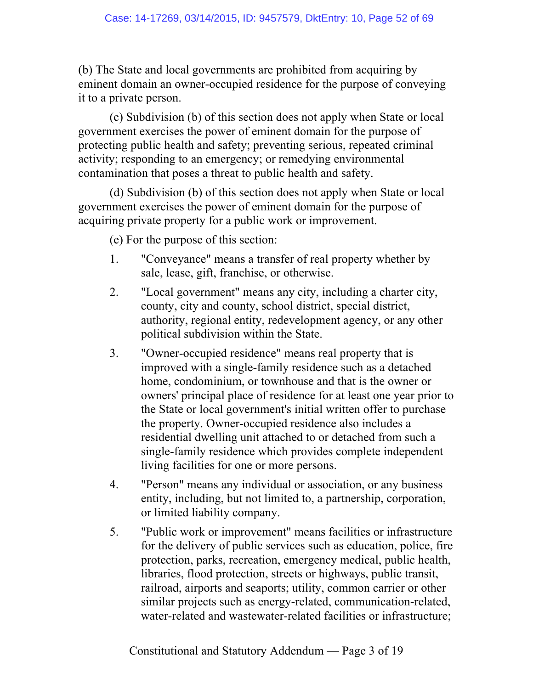(b) The State and local governments are prohibited from acquiring by eminent domain an owner-occupied residence for the purpose of conveying it to a private person.

(c) Subdivision (b) of this section does not apply when State or local government exercises the power of eminent domain for the purpose of protecting public health and safety; preventing serious, repeated criminal activity; responding to an emergency; or remedying environmental contamination that poses a threat to public health and safety.

(d) Subdivision (b) of this section does not apply when State or local government exercises the power of eminent domain for the purpose of acquiring private property for a public work or improvement.

(e) For the purpose of this section:

- 1. "Conveyance" means a transfer of real property whether by sale, lease, gift, franchise, or otherwise.
- 2. "Local government" means any city, including a charter city, county, city and county, school district, special district, authority, regional entity, redevelopment agency, or any other political subdivision within the State.
- 3. "Owner-occupied residence" means real property that is improved with a single-family residence such as a detached home, condominium, or townhouse and that is the owner or owners' principal place of residence for at least one year prior to the State or local government's initial written offer to purchase the property. Owner-occupied residence also includes a residential dwelling unit attached to or detached from such a single-family residence which provides complete independent living facilities for one or more persons.
- 4. "Person" means any individual or association, or any business entity, including, but not limited to, a partnership, corporation, or limited liability company.
- 5. "Public work or improvement" means facilities or infrastructure for the delivery of public services such as education, police, fire protection, parks, recreation, emergency medical, public health, libraries, flood protection, streets or highways, public transit, railroad, airports and seaports; utility, common carrier or other similar projects such as energy-related, communication-related, water-related and wastewater-related facilities or infrastructure;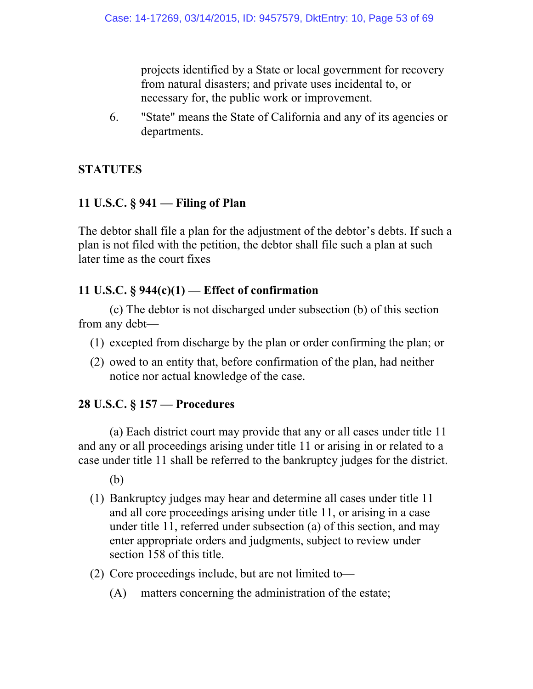projects identified by a State or local government for recovery from natural disasters; and private uses incidental to, or necessary for, the public work or improvement.

6. "State" means the State of California and any of its agencies or departments.

## **STATUTES**

# **11 U.S.C. § 941 — Filing of Plan**

The debtor shall file a plan for the adjustment of the debtor's debts. If such a plan is not filed with the petition, the debtor shall file such a plan at such later time as the court fixes

### **11 U.S.C. § 944(c)(1) — Effect of confirmation**

(c) The debtor is not discharged under subsection (b) of this section from any debt—

- (1) excepted from discharge by the plan or order confirming the plan; or
- (2) owed to an entity that, before confirmation of the plan, had neither notice nor actual knowledge of the case.

# **28 U.S.C. § 157 — Procedures**

(a) Each district court may provide that any or all cases under title 11 and any or all proceedings arising under title 11 or arising in or related to a case under title 11 shall be referred to the bankruptcy judges for the district.

(b)

- (1) Bankruptcy judges may hear and determine all cases under title 11 and all core proceedings arising under title 11, or arising in a case under title 11, referred under subsection (a) of this section, and may enter appropriate orders and judgments, subject to review under section 158 of this title.
- (2) Core proceedings include, but are not limited to—
	- (A) matters concerning the administration of the estate;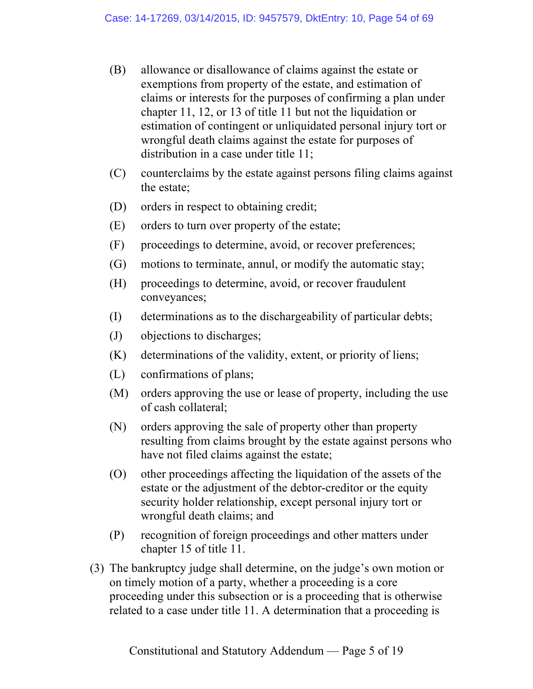- (B) allowance or disallowance of claims against the estate or exemptions from property of the estate, and estimation of claims or interests for the purposes of confirming a plan under chapter 11, 12, or 13 of title 11 but not the liquidation or estimation of contingent or unliquidated personal injury tort or wrongful death claims against the estate for purposes of distribution in a case under title 11;
- (C) counterclaims by the estate against persons filing claims against the estate;
- (D) orders in respect to obtaining credit;
- (E) orders to turn over property of the estate;
- (F) proceedings to determine, avoid, or recover preferences;
- (G) motions to terminate, annul, or modify the automatic stay;
- (H) proceedings to determine, avoid, or recover fraudulent conveyances;
- (I) determinations as to the dischargeability of particular debts;
- (J) objections to discharges;
- (K) determinations of the validity, extent, or priority of liens;
- (L) confirmations of plans;
- (M) orders approving the use or lease of property, including the use of cash collateral;
- (N) orders approving the sale of property other than property resulting from claims brought by the estate against persons who have not filed claims against the estate;
- (O) other proceedings affecting the liquidation of the assets of the estate or the adjustment of the debtor-creditor or the equity security holder relationship, except personal injury tort or wrongful death claims; and
- (P) recognition of foreign proceedings and other matters under chapter 15 of title 11.
- (3) The bankruptcy judge shall determine, on the judge's own motion or on timely motion of a party, whether a proceeding is a core proceeding under this subsection or is a proceeding that is otherwise related to a case under title 11. A determination that a proceeding is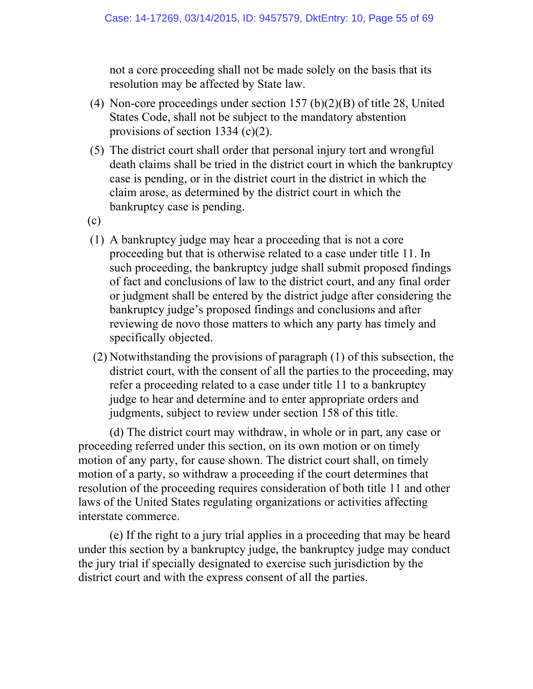not a core proceeding shall not be made solely on the basis that its resolution may be affected by State law.

- (4) Non-core proceedings under section 157 (b)(2)(B) of title 28, United States Code, shall not be subject to the mandatory abstention provisions of section 1334 (c)(2).
- (5) The district court shall order that personal injury tort and wrongful death claims shall be tried in the district court in which the bankruptcy case is pending, or in the district court in the district in which the claim arose, as determined by the district court in which the bankruptcy case is pending.
- (c)
- (1) A bankruptcy judge may hear a proceeding that is not a core proceeding but that is otherwise related to a case under title 11. In such proceeding, the bankruptcy judge shall submit proposed findings of fact and conclusions of law to the district court, and any final order or judgment shall be entered by the district judge after considering the bankruptcy judge's proposed findings and conclusions and after reviewing de novo those matters to which any party has timely and specifically objected.
- (2) Notwithstanding the provisions of paragraph (1) of this subsection, the district court, with the consent of all the parties to the proceeding, may refer a proceeding related to a case under title 11 to a bankruptcy judge to hear and determine and to enter appropriate orders and judgments, subject to review under section 158 of this title.

(d) The district court may withdraw, in whole or in part, any case or proceeding referred under this section, on its own motion or on timely motion of any party, for cause shown. The district court shall, on timely motion of a party, so withdraw a proceeding if the court determines that resolution of the proceeding requires consideration of both title 11 and other laws of the United States regulating organizations or activities affecting interstate commerce.

(e) If the right to a jury trial applies in a proceeding that may be heard under this section by a bankruptcy judge, the bankruptcy judge may conduct the jury trial if specially designated to exercise such jurisdiction by the district court and with the express consent of all the parties.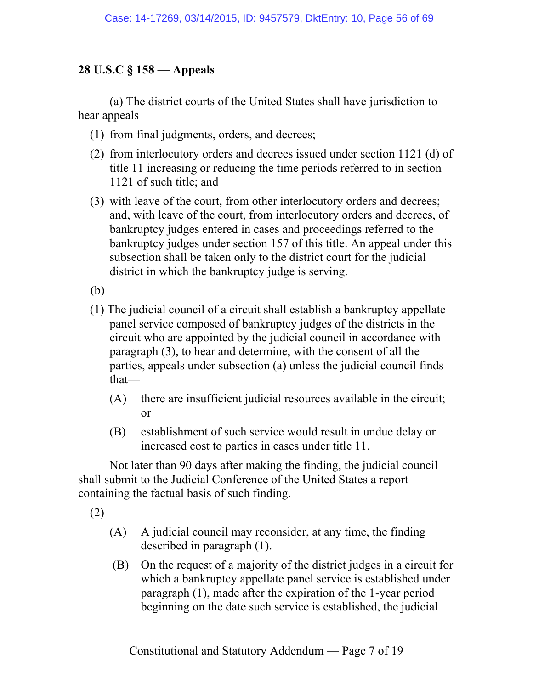### **28 U.S.C § 158 — Appeals**

(a) The district courts of the United States shall have jurisdiction to hear appeals

- (1) from final judgments, orders, and decrees;
- (2) from interlocutory orders and decrees issued under section 1121 (d) of title 11 increasing or reducing the time periods referred to in section 1121 of such title; and
- (3) with leave of the court, from other interlocutory orders and decrees; and, with leave of the court, from interlocutory orders and decrees, of bankruptcy judges entered in cases and proceedings referred to the bankruptcy judges under section 157 of this title. An appeal under this subsection shall be taken only to the district court for the judicial district in which the bankruptcy judge is serving.
- (b)
- (1) The judicial council of a circuit shall establish a bankruptcy appellate panel service composed of bankruptcy judges of the districts in the circuit who are appointed by the judicial council in accordance with paragraph (3), to hear and determine, with the consent of all the parties, appeals under subsection (a) unless the judicial council finds that—
	- (A) there are insufficient judicial resources available in the circuit; or
	- (B) establishment of such service would result in undue delay or increased cost to parties in cases under title 11.

Not later than 90 days after making the finding, the judicial council shall submit to the Judicial Conference of the United States a report containing the factual basis of such finding.

(2)

- (A) A judicial council may reconsider, at any time, the finding described in paragraph (1).
- (B) On the request of a majority of the district judges in a circuit for which a bankruptcy appellate panel service is established under paragraph (1), made after the expiration of the 1-year period beginning on the date such service is established, the judicial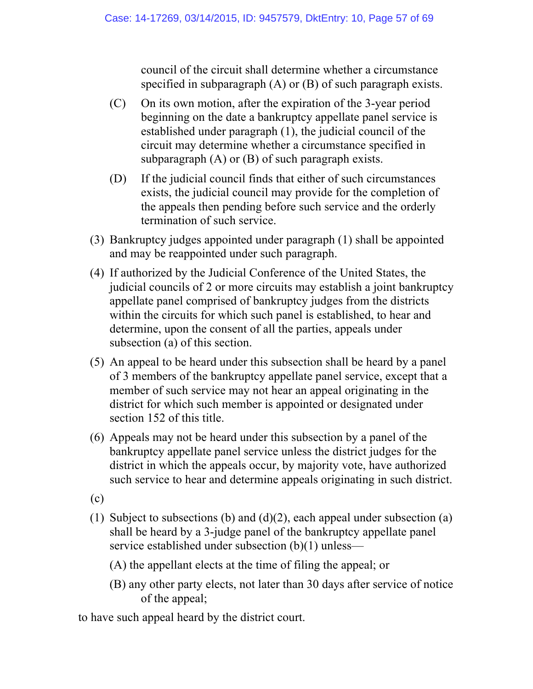council of the circuit shall determine whether a circumstance specified in subparagraph (A) or (B) of such paragraph exists.

- (C) On its own motion, after the expiration of the 3-year period beginning on the date a bankruptcy appellate panel service is established under paragraph (1), the judicial council of the circuit may determine whether a circumstance specified in subparagraph (A) or (B) of such paragraph exists.
- (D) If the judicial council finds that either of such circumstances exists, the judicial council may provide for the completion of the appeals then pending before such service and the orderly termination of such service.
- (3) Bankruptcy judges appointed under paragraph (1) shall be appointed and may be reappointed under such paragraph.
- (4) If authorized by the Judicial Conference of the United States, the judicial councils of 2 or more circuits may establish a joint bankruptcy appellate panel comprised of bankruptcy judges from the districts within the circuits for which such panel is established, to hear and determine, upon the consent of all the parties, appeals under subsection (a) of this section.
- (5) An appeal to be heard under this subsection shall be heard by a panel of 3 members of the bankruptcy appellate panel service, except that a member of such service may not hear an appeal originating in the district for which such member is appointed or designated under section 152 of this title.
- (6) Appeals may not be heard under this subsection by a panel of the bankruptcy appellate panel service unless the district judges for the district in which the appeals occur, by majority vote, have authorized such service to hear and determine appeals originating in such district.
- (c)
- (1) Subject to subsections (b) and  $(d)(2)$ , each appeal under subsection (a) shall be heard by a 3-judge panel of the bankruptcy appellate panel service established under subsection (b)(1) unless—

(A) the appellant elects at the time of filing the appeal; or

(B) any other party elects, not later than 30 days after service of notice of the appeal;

to have such appeal heard by the district court.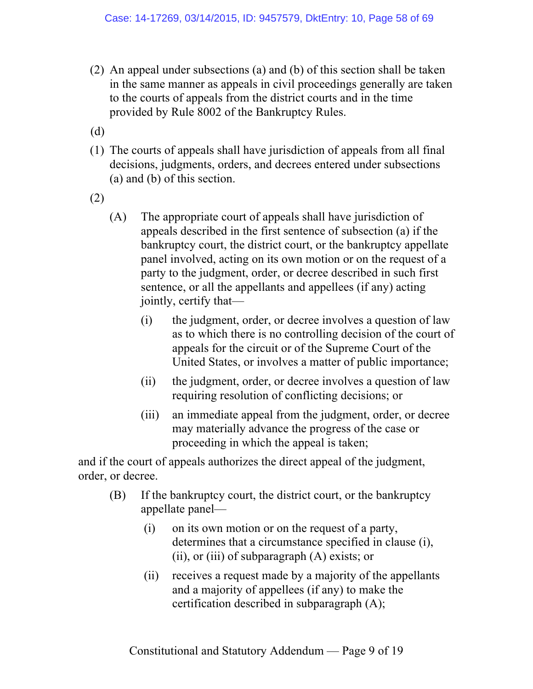- (2) An appeal under subsections (a) and (b) of this section shall be taken in the same manner as appeals in civil proceedings generally are taken to the courts of appeals from the district courts and in the time provided by Rule 8002 of the Bankruptcy Rules.
- (d)
- (1) The courts of appeals shall have jurisdiction of appeals from all final decisions, judgments, orders, and decrees entered under subsections (a) and (b) of this section.
- (2)
- (A) The appropriate court of appeals shall have jurisdiction of appeals described in the first sentence of subsection (a) if the bankruptcy court, the district court, or the bankruptcy appellate panel involved, acting on its own motion or on the request of a party to the judgment, order, or decree described in such first sentence, or all the appellants and appellees (if any) acting jointly, certify that—
	- (i) the judgment, order, or decree involves a question of law as to which there is no controlling decision of the court of appeals for the circuit or of the Supreme Court of the United States, or involves a matter of public importance;
	- (ii) the judgment, order, or decree involves a question of law requiring resolution of conflicting decisions; or
	- (iii) an immediate appeal from the judgment, order, or decree may materially advance the progress of the case or proceeding in which the appeal is taken;

and if the court of appeals authorizes the direct appeal of the judgment, order, or decree.

- (B) If the bankruptcy court, the district court, or the bankruptcy appellate panel—
	- (i) on its own motion or on the request of a party, determines that a circumstance specified in clause (i), (ii), or (iii) of subparagraph (A) exists; or
	- (ii) receives a request made by a majority of the appellants and a majority of appellees (if any) to make the certification described in subparagraph (A);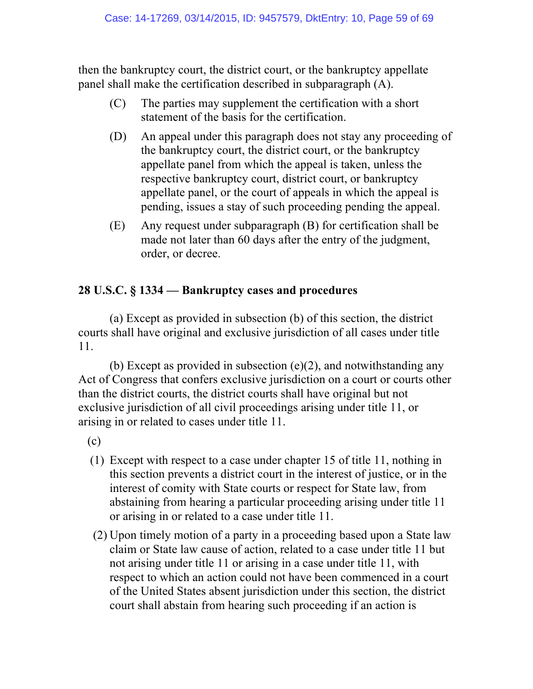then the bankruptcy court, the district court, or the bankruptcy appellate panel shall make the certification described in subparagraph (A).

- (C) The parties may supplement the certification with a short statement of the basis for the certification.
- (D) An appeal under this paragraph does not stay any proceeding of the bankruptcy court, the district court, or the bankruptcy appellate panel from which the appeal is taken, unless the respective bankruptcy court, district court, or bankruptcy appellate panel, or the court of appeals in which the appeal is pending, issues a stay of such proceeding pending the appeal.
- (E) Any request under subparagraph (B) for certification shall be made not later than 60 days after the entry of the judgment, order, or decree.

### **28 U.S.C. § 1334 — Bankruptcy cases and procedures**

(a) Except as provided in subsection (b) of this section, the district courts shall have original and exclusive jurisdiction of all cases under title 11.

(b) Except as provided in subsection (e)(2), and notwithstanding any Act of Congress that confers exclusive jurisdiction on a court or courts other than the district courts, the district courts shall have original but not exclusive jurisdiction of all civil proceedings arising under title 11, or arising in or related to cases under title 11.

- (c)
- (1) Except with respect to a case under chapter 15 of title 11, nothing in this section prevents a district court in the interest of justice, or in the interest of comity with State courts or respect for State law, from abstaining from hearing a particular proceeding arising under title 11 or arising in or related to a case under title 11.
- (2) Upon timely motion of a party in a proceeding based upon a State law claim or State law cause of action, related to a case under title 11 but not arising under title 11 or arising in a case under title 11, with respect to which an action could not have been commenced in a court of the United States absent jurisdiction under this section, the district court shall abstain from hearing such proceeding if an action is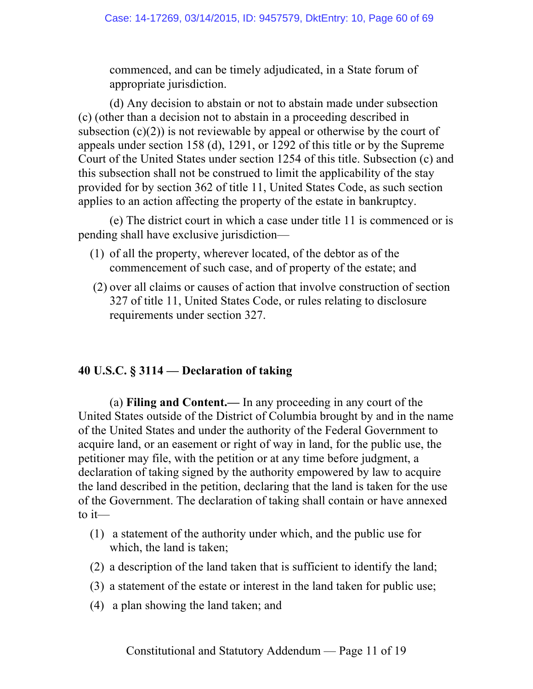commenced, and can be timely adjudicated, in a State forum of appropriate jurisdiction.

(d) Any decision to abstain or not to abstain made under subsection (c) (other than a decision not to abstain in a proceeding described in subsection  $(c)(2)$  is not reviewable by appeal or otherwise by the court of appeals under section 158 (d), 1291, or 1292 of this title or by the Supreme Court of the United States under section 1254 of this title. Subsection (c) and this subsection shall not be construed to limit the applicability of the stay provided for by section 362 of title 11, United States Code, as such section applies to an action affecting the property of the estate in bankruptcy.

(e) The district court in which a case under title 11 is commenced or is pending shall have exclusive jurisdiction—

- (1) of all the property, wherever located, of the debtor as of the commencement of such case, and of property of the estate; and
- (2) over all claims or causes of action that involve construction of section 327 of title 11, United States Code, or rules relating to disclosure requirements under section 327.

### **40 U.S.C. § 3114 — Declaration of taking**

(a) **Filing and Content.—** In any proceeding in any court of the United States outside of the District of Columbia brought by and in the name of the United States and under the authority of the Federal Government to acquire land, or an easement or right of way in land, for the public use, the petitioner may file, with the petition or at any time before judgment, a declaration of taking signed by the authority empowered by law to acquire the land described in the petition, declaring that the land is taken for the use of the Government. The declaration of taking shall contain or have annexed to it—

- (1) a statement of the authority under which, and the public use for which, the land is taken;
- (2) a description of the land taken that is sufficient to identify the land;
- (3) a statement of the estate or interest in the land taken for public use;
- (4) a plan showing the land taken; and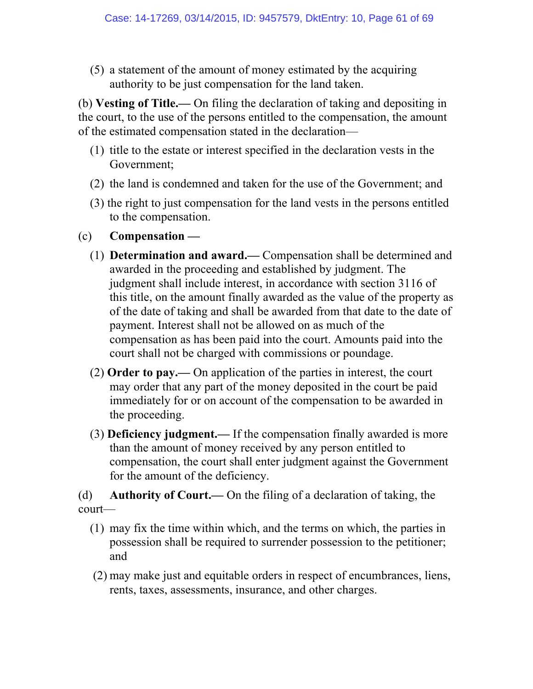(5) a statement of the amount of money estimated by the acquiring authority to be just compensation for the land taken.

(b) **Vesting of Title.—** On filing the declaration of taking and depositing in the court, to the use of the persons entitled to the compensation, the amount of the estimated compensation stated in the declaration—

- (1) title to the estate or interest specified in the declaration vests in the Government;
- (2) the land is condemned and taken for the use of the Government; and
- (3) the right to just compensation for the land vests in the persons entitled to the compensation.
- (c) **Compensation —**
	- (1) **Determination and award.—** Compensation shall be determined and awarded in the proceeding and established by judgment. The judgment shall include interest, in accordance with section 3116 of this title, on the amount finally awarded as the value of the property as of the date of taking and shall be awarded from that date to the date of payment. Interest shall not be allowed on as much of the compensation as has been paid into the court. Amounts paid into the court shall not be charged with commissions or poundage.
	- (2) **Order to pay.—** On application of the parties in interest, the court may order that any part of the money deposited in the court be paid immediately for or on account of the compensation to be awarded in the proceeding.
	- (3) **Deficiency judgment.—** If the compensation finally awarded is more than the amount of money received by any person entitled to compensation, the court shall enter judgment against the Government for the amount of the deficiency.

(d) **Authority of Court.—** On the filing of a declaration of taking, the court—

- (1) may fix the time within which, and the terms on which, the parties in possession shall be required to surrender possession to the petitioner; and
- (2) may make just and equitable orders in respect of encumbrances, liens, rents, taxes, assessments, insurance, and other charges.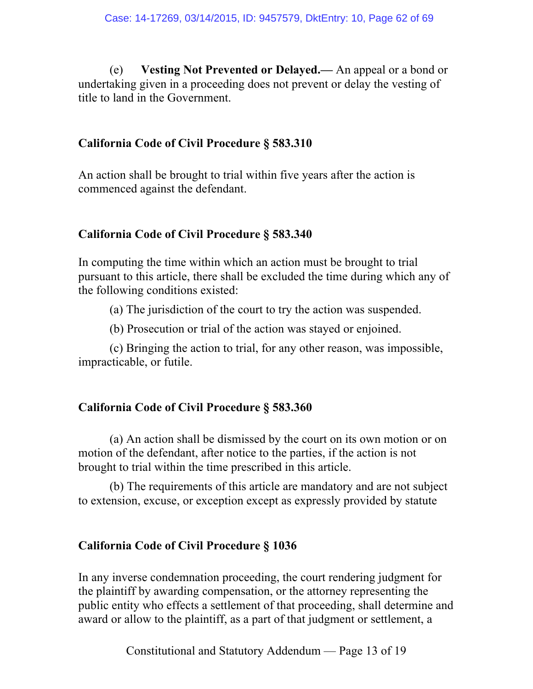(e) **Vesting Not Prevented or Delayed.—** An appeal or a bond or undertaking given in a proceeding does not prevent or delay the vesting of title to land in the Government.

#### **California Code of Civil Procedure § 583.310**

An action shall be brought to trial within five years after the action is commenced against the defendant.

### **California Code of Civil Procedure § 583.340**

In computing the time within which an action must be brought to trial pursuant to this article, there shall be excluded the time during which any of the following conditions existed:

(a) The jurisdiction of the court to try the action was suspended.

(b) Prosecution or trial of the action was stayed or enjoined.

(c) Bringing the action to trial, for any other reason, was impossible, impracticable, or futile.

### **California Code of Civil Procedure § 583.360**

(a) An action shall be dismissed by the court on its own motion or on motion of the defendant, after notice to the parties, if the action is not brought to trial within the time prescribed in this article.

(b) The requirements of this article are mandatory and are not subject to extension, excuse, or exception except as expressly provided by statute

### **California Code of Civil Procedure § 1036**

In any inverse condemnation proceeding, the court rendering judgment for the plaintiff by awarding compensation, or the attorney representing the public entity who effects a settlement of that proceeding, shall determine and award or allow to the plaintiff, as a part of that judgment or settlement, a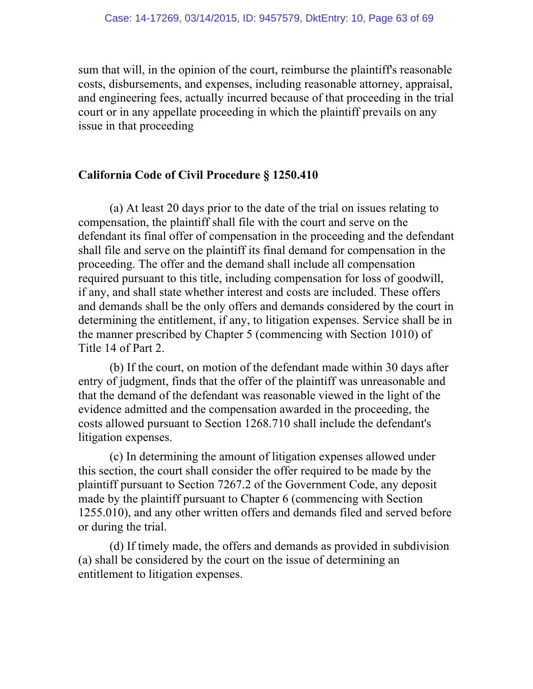sum that will, in the opinion of the court, reimburse the plaintiff's reasonable costs, disbursements, and expenses, including reasonable attorney, appraisal, and engineering fees, actually incurred because of that proceeding in the trial court or in any appellate proceeding in which the plaintiff prevails on any issue in that proceeding

#### **California Code of Civil Procedure § 1250.410**

(a) At least 20 days prior to the date of the trial on issues relating to compensation, the plaintiff shall file with the court and serve on the defendant its final offer of compensation in the proceeding and the defendant shall file and serve on the plaintiff its final demand for compensation in the proceeding. The offer and the demand shall include all compensation required pursuant to this title, including compensation for loss of goodwill, if any, and shall state whether interest and costs are included. These offers and demands shall be the only offers and demands considered by the court in determining the entitlement, if any, to litigation expenses. Service shall be in the manner prescribed by Chapter 5 (commencing with Section 1010) of Title 14 of Part 2.

(b) If the court, on motion of the defendant made within 30 days after entry of judgment, finds that the offer of the plaintiff was unreasonable and that the demand of the defendant was reasonable viewed in the light of the evidence admitted and the compensation awarded in the proceeding, the costs allowed pursuant to Section 1268.710 shall include the defendant's litigation expenses.

(c) In determining the amount of litigation expenses allowed under this section, the court shall consider the offer required to be made by the plaintiff pursuant to Section 7267.2 of the Government Code, any deposit made by the plaintiff pursuant to Chapter 6 (commencing with Section 1255.010), and any other written offers and demands filed and served before or during the trial.

(d) If timely made, the offers and demands as provided in subdivision (a) shall be considered by the court on the issue of determining an entitlement to litigation expenses.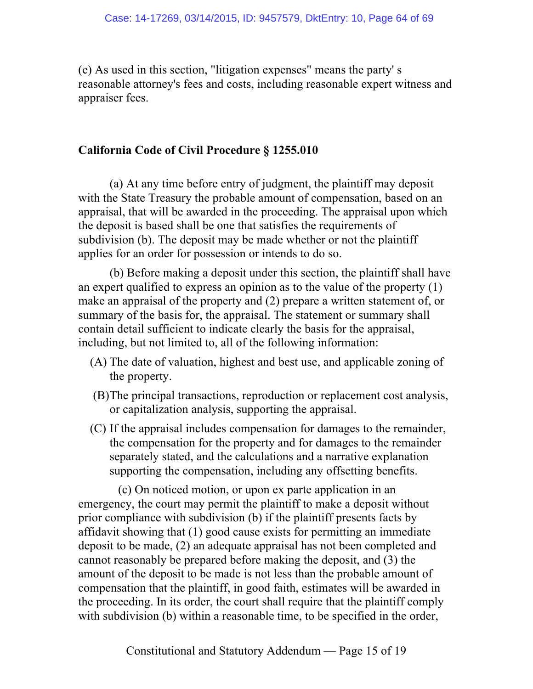(e) As used in this section, "litigation expenses" means the party' s reasonable attorney's fees and costs, including reasonable expert witness and appraiser fees.

### **California Code of Civil Procedure § 1255.010**

(a) At any time before entry of judgment, the plaintiff may deposit with the State Treasury the probable amount of compensation, based on an appraisal, that will be awarded in the proceeding. The appraisal upon which the deposit is based shall be one that satisfies the requirements of subdivision (b). The deposit may be made whether or not the plaintiff applies for an order for possession or intends to do so.

(b) Before making a deposit under this section, the plaintiff shall have an expert qualified to express an opinion as to the value of the property (1) make an appraisal of the property and (2) prepare a written statement of, or summary of the basis for, the appraisal. The statement or summary shall contain detail sufficient to indicate clearly the basis for the appraisal, including, but not limited to, all of the following information:

- (A) The date of valuation, highest and best use, and applicable zoning of the property.
- (B)The principal transactions, reproduction or replacement cost analysis, or capitalization analysis, supporting the appraisal.
- (C) If the appraisal includes compensation for damages to the remainder, the compensation for the property and for damages to the remainder separately stated, and the calculations and a narrative explanation supporting the compensation, including any offsetting benefits.

(c) On noticed motion, or upon ex parte application in an emergency, the court may permit the plaintiff to make a deposit without prior compliance with subdivision (b) if the plaintiff presents facts by affidavit showing that (1) good cause exists for permitting an immediate deposit to be made, (2) an adequate appraisal has not been completed and cannot reasonably be prepared before making the deposit, and (3) the amount of the deposit to be made is not less than the probable amount of compensation that the plaintiff, in good faith, estimates will be awarded in the proceeding. In its order, the court shall require that the plaintiff comply with subdivision (b) within a reasonable time, to be specified in the order,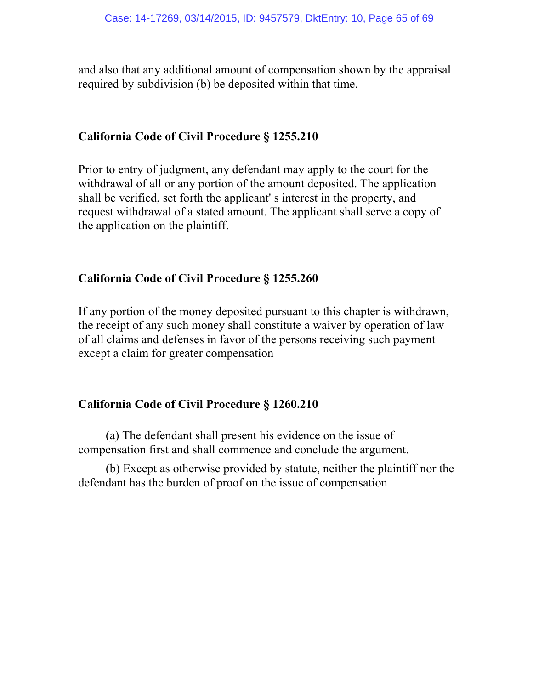and also that any additional amount of compensation shown by the appraisal required by subdivision (b) be deposited within that time.

#### **California Code of Civil Procedure § 1255.210**

Prior to entry of judgment, any defendant may apply to the court for the withdrawal of all or any portion of the amount deposited. The application shall be verified, set forth the applicant' s interest in the property, and request withdrawal of a stated amount. The applicant shall serve a copy of the application on the plaintiff.

#### **California Code of Civil Procedure § 1255.260**

If any portion of the money deposited pursuant to this chapter is withdrawn, the receipt of any such money shall constitute a waiver by operation of law of all claims and defenses in favor of the persons receiving such payment except a claim for greater compensation

### **California Code of Civil Procedure § 1260.210**

(a) The defendant shall present his evidence on the issue of compensation first and shall commence and conclude the argument.

(b) Except as otherwise provided by statute, neither the plaintiff nor the defendant has the burden of proof on the issue of compensation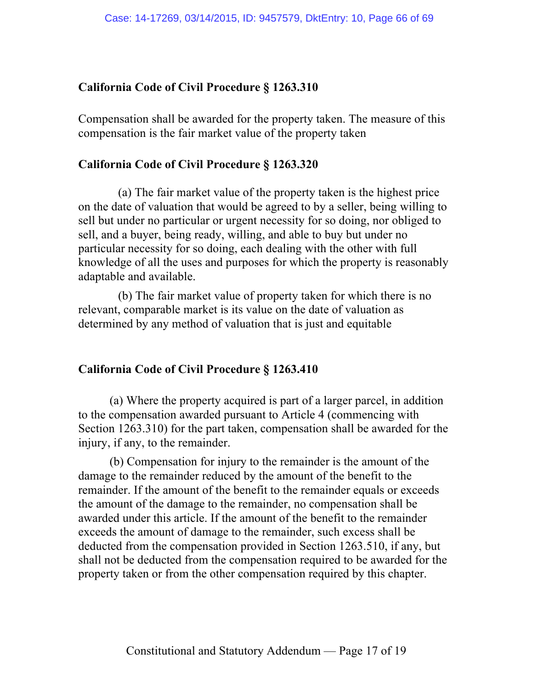#### **California Code of Civil Procedure § 1263.310**

Compensation shall be awarded for the property taken. The measure of this compensation is the fair market value of the property taken

#### **California Code of Civil Procedure § 1263.320**

(a) The fair market value of the property taken is the highest price on the date of valuation that would be agreed to by a seller, being willing to sell but under no particular or urgent necessity for so doing, nor obliged to sell, and a buyer, being ready, willing, and able to buy but under no particular necessity for so doing, each dealing with the other with full knowledge of all the uses and purposes for which the property is reasonably adaptable and available.

(b) The fair market value of property taken for which there is no relevant, comparable market is its value on the date of valuation as determined by any method of valuation that is just and equitable

#### **California Code of Civil Procedure § 1263.410**

(a) Where the property acquired is part of a larger parcel, in addition to the compensation awarded pursuant to Article 4 (commencing with Section 1263.310) for the part taken, compensation shall be awarded for the injury, if any, to the remainder.

(b) Compensation for injury to the remainder is the amount of the damage to the remainder reduced by the amount of the benefit to the remainder. If the amount of the benefit to the remainder equals or exceeds the amount of the damage to the remainder, no compensation shall be awarded under this article. If the amount of the benefit to the remainder exceeds the amount of damage to the remainder, such excess shall be deducted from the compensation provided in Section 1263.510, if any, but shall not be deducted from the compensation required to be awarded for the property taken or from the other compensation required by this chapter.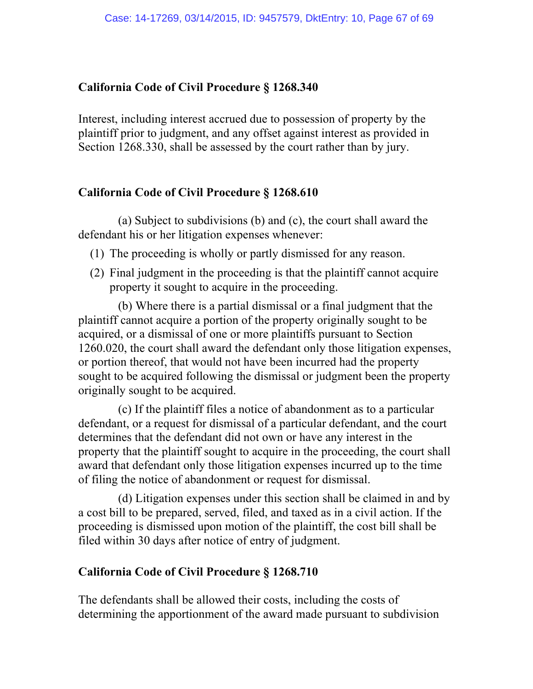#### **California Code of Civil Procedure § 1268.340**

Interest, including interest accrued due to possession of property by the plaintiff prior to judgment, and any offset against interest as provided in Section 1268.330, shall be assessed by the court rather than by jury.

#### **California Code of Civil Procedure § 1268.610**

(a) Subject to subdivisions (b) and (c), the court shall award the defendant his or her litigation expenses whenever:

- (1) The proceeding is wholly or partly dismissed for any reason.
- (2) Final judgment in the proceeding is that the plaintiff cannot acquire property it sought to acquire in the proceeding.

(b) Where there is a partial dismissal or a final judgment that the plaintiff cannot acquire a portion of the property originally sought to be acquired, or a dismissal of one or more plaintiffs pursuant to Section 1260.020, the court shall award the defendant only those litigation expenses, or portion thereof, that would not have been incurred had the property sought to be acquired following the dismissal or judgment been the property originally sought to be acquired.

(c) If the plaintiff files a notice of abandonment as to a particular defendant, or a request for dismissal of a particular defendant, and the court determines that the defendant did not own or have any interest in the property that the plaintiff sought to acquire in the proceeding, the court shall award that defendant only those litigation expenses incurred up to the time of filing the notice of abandonment or request for dismissal.

(d) Litigation expenses under this section shall be claimed in and by a cost bill to be prepared, served, filed, and taxed as in a civil action. If the proceeding is dismissed upon motion of the plaintiff, the cost bill shall be filed within 30 days after notice of entry of judgment.

#### **California Code of Civil Procedure § 1268.710**

The defendants shall be allowed their costs, including the costs of determining the apportionment of the award made pursuant to subdivision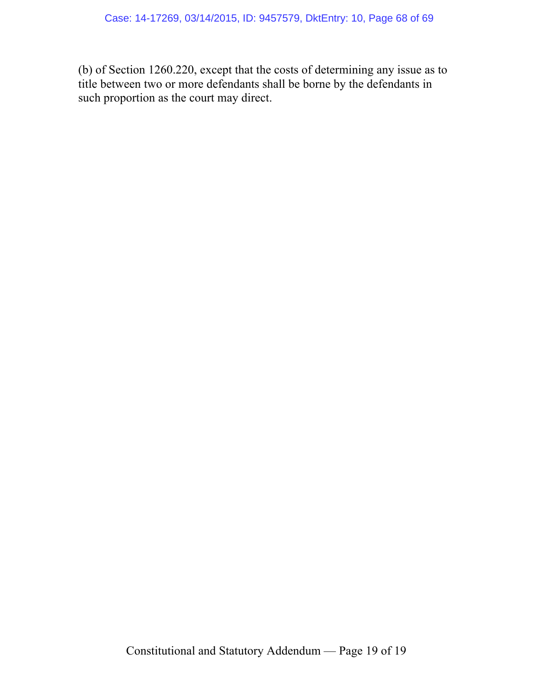(b) of Section 1260.220, except that the costs of determining any issue as to title between two or more defendants shall be borne by the defendants in such proportion as the court may direct.